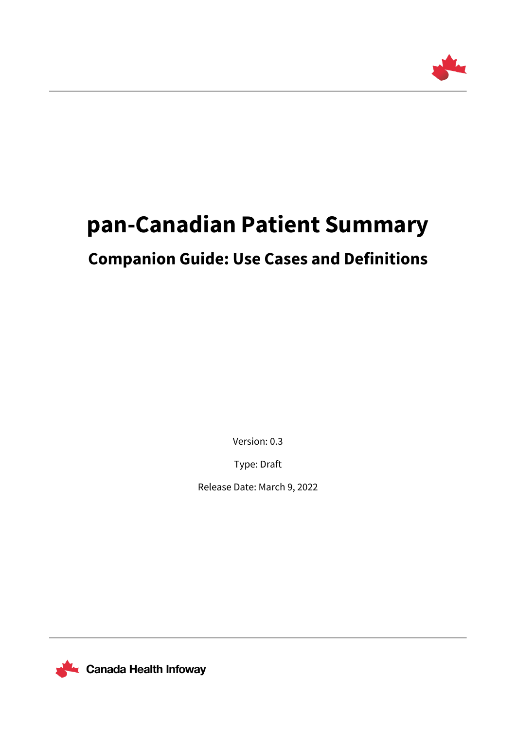

# **pan-Canadian Patient Summary**

# **Companion Guide: Use Cases and Definitions**

Version: 0.3

Type: Draft

Release Date: March 9, 2022



**L** Canada Health Infoway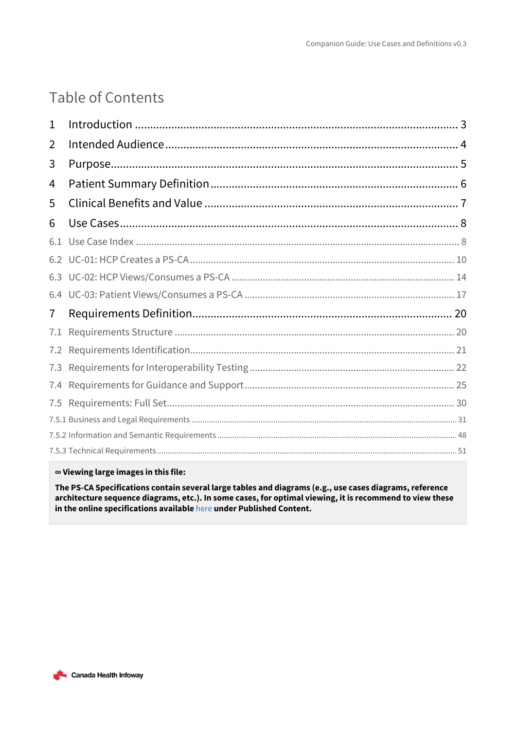# Table of Contents

| 1   |  |
|-----|--|
| 2   |  |
| 3   |  |
| 4   |  |
| 5   |  |
| 6   |  |
| 6.1 |  |
|     |  |
|     |  |
| 6.4 |  |
| 7   |  |
| 7.1 |  |
| 7.2 |  |
| 7.3 |  |
| 7.4 |  |
| 7.5 |  |
|     |  |
|     |  |
|     |  |

### $\infty$  Viewing large images in this file:

The PS-CA Specifications contain several large tables and diagrams (e.g., use cases diagrams, reference architecture sequence diagrams, etc.). In some cases, for optimal viewing, it is recommend to view these in the online specifications available here under Published Content.

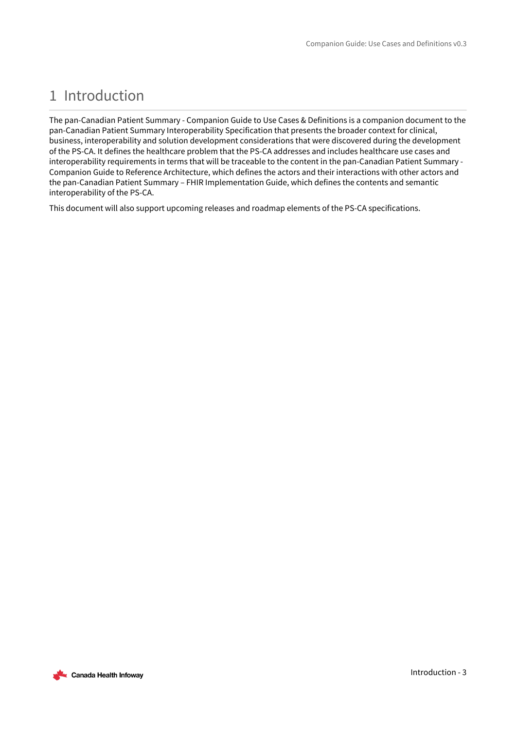# <span id="page-2-0"></span>1 Introduction

The pan-Canadian Patient Summary - Companion Guide to Use Cases & Definitions is a companion document to the pan-Canadian Patient Summary Interoperability Specification that presents the broader context for clinical, business, interoperability and solution development considerations that were discovered during the development of the PS-CA. It defines the healthcare problem that the PS-CA addresses and includes healthcare use cases and interoperability requirements in terms that will be traceable to the content in the pan-Canadian Patient Summary - Companion Guide to Reference Architecture, which defines the actors and their interactions with other actors and the pan-Canadian Patient Summary – FHIR Implementation Guide, which defines the contents and semantic interoperability of the PS-CA.

This document will also support upcoming releases and roadmap elements of the PS-CA specifications.

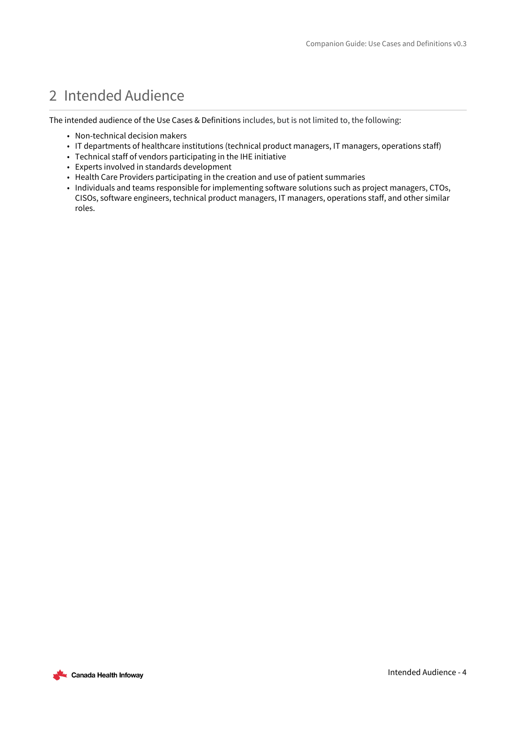# <span id="page-3-0"></span>2 Intended Audience

The intended audience of the Use Cases & Definitions includes, but is not limited to, the following:

- Non-technical decision makers
- IT departments of healthcare institutions (technical product managers, IT managers, operations staff)
- Technical staff of vendors participating in the IHE initiative
- Experts involved in standards development
- Health Care Providers participating in the creation and use of patient summaries
- Individuals and teams responsible for implementing software solutions such as project managers, CTOs, CISOs, software engineers, technical product managers, IT managers, operations staff, and other similar roles.

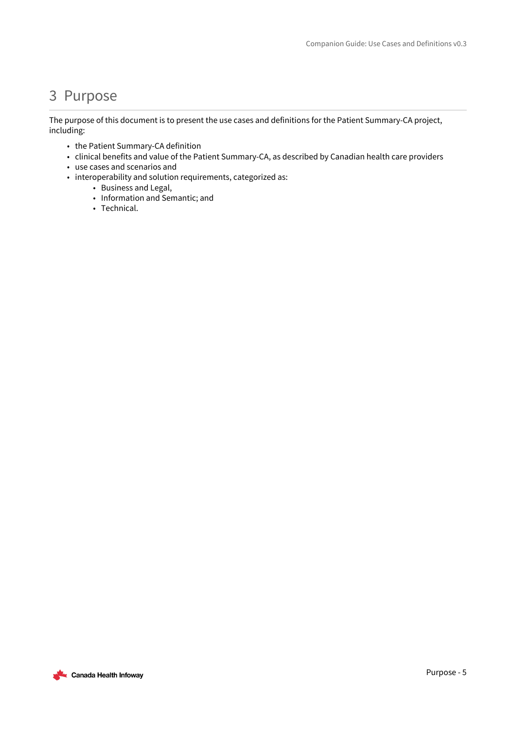## <span id="page-4-0"></span>3 Purpose

The purpose of this document is to present the use cases and definitions for the Patient Summary-CA project, including:

- the Patient Summary-CA definition
- clinical benefits and value of the Patient Summary-CA, as described by Canadian health care providers
- use cases and scenarios and
- interoperability and solution requirements, categorized as:
	- Business and Legal,
	- Information and Semantic; and
	- Technical.

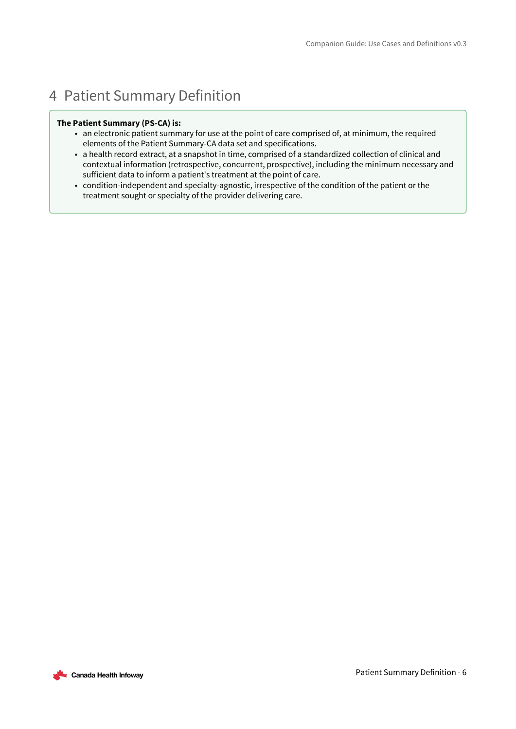# <span id="page-5-0"></span>4 Patient Summary Definition

### **The Patient Summary (PS-CA) is:**

- an electronic patient summary for use at the point of care comprised of, at minimum, the required elements of the Patient Summary-CA data set and specifications.
- a health record extract, at a snapshot in time, comprised of a standardized collection of clinical and contextual information (retrospective, concurrent, prospective), including the minimum necessary and sufficient data to inform a patient's treatment at the point of care.
- condition-independent and specialty-agnostic, irrespective of the condition of the patient or the treatment sought or specialty of the provider delivering care.

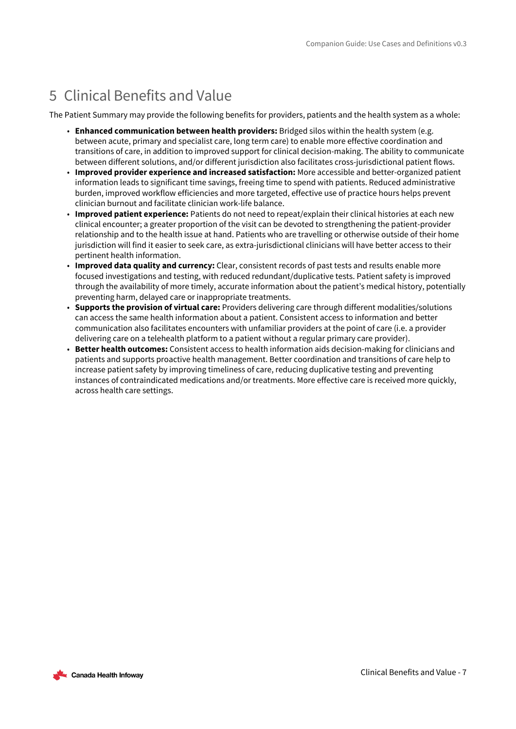# <span id="page-6-0"></span>5 Clinical Benefits and Value

The Patient Summary may provide the following benefits for providers, patients and the health system as a whole:

- **Enhanced communication between health providers:** Bridged silos within the health system (e.g. between acute, primary and specialist care, long term care) to enable more effective coordination and transitions of care, in addition to improved support for clinical decision-making. The ability to communicate between different solutions, and/or different jurisdiction also facilitates cross-jurisdictional patient flows.
- **Improved provider experience and increased satisfaction:** More accessible and better-organized patient information leads to significant time savings, freeing time to spend with patients. Reduced administrative burden, improved workflow efficiencies and more targeted, effective use of practice hours helps prevent clinician burnout and facilitate clinician work-life balance.
- **Improved patient experience:** Patients do not need to repeat/explain their clinical histories at each new clinical encounter; a greater proportion of the visit can be devoted to strengthening the patient-provider relationship and to the health issue at hand. Patients who are travelling or otherwise outside of their home jurisdiction will find it easier to seek care, as extra-jurisdictional clinicians will have better access to their pertinent health information.
- **Improved data quality and currency:** Clear, consistent records of past tests and results enable more focused investigations and testing, with reduced redundant/duplicative tests. Patient safety is improved through the availability of more timely, accurate information about the patient's medical history, potentially preventing harm, delayed care or inappropriate treatments.
- **Supports the provision of virtual care:** Providers delivering care through different modalities/solutions can access the same health information about a patient. Consistent access to information and better communication also facilitates encounters with unfamiliar providers at the point of care (i.e. a provider delivering care on a telehealth platform to a patient without a regular primary care provider).
- **Better health outcomes:** Consistent access to health information aids decision-making for clinicians and patients and supports proactive health management. Better coordination and transitions of care help to increase patient safety by improving timeliness of care, reducing duplicative testing and preventing instances of contraindicated medications and/or treatments. More effective care is received more quickly, across health care settings.

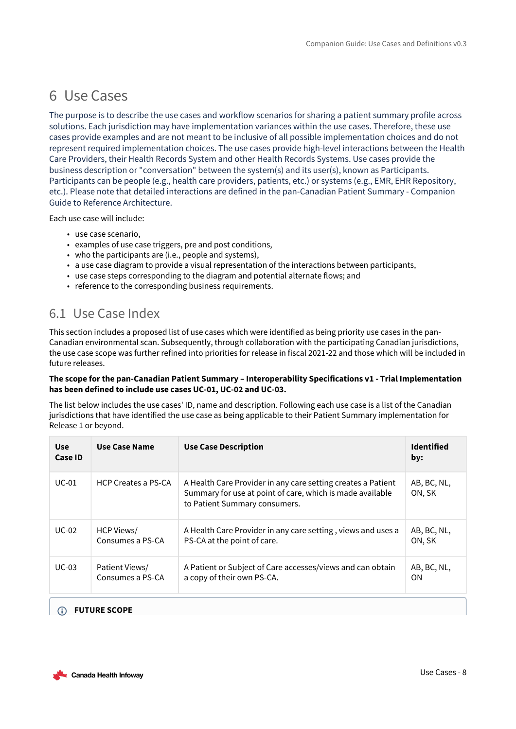# <span id="page-7-0"></span>6 Use Cases

The purpose is to describe the use cases and workflow scenarios for sharing a patient summary profile across solutions. Each jurisdiction may have implementation variances within the use cases. Therefore, these use cases provide examples and are not meant to be inclusive of all possible implementation choices and do not represent required implementation choices. The use cases provide high-level interactions between the Health Care Providers, their Health Records System and other Health Records Systems. Use cases provide the business description or "conversation" between the system(s) and its user(s), known as Participants. Participants can be people (e.g., health care providers, patients, etc.) or systems (e.g., EMR, EHR Repository, etc.). Please note that detailed interactions are defined in the pan-Canadian Patient Summary - Companion Guide to Reference Architecture.

Each use case will include:

- use case scenario,
- examples of use case triggers, pre and post conditions,
- who the participants are (i.e., people and systems),
- a use case diagram to provide a visual representation of the interactions between participants,
- use case steps corresponding to the diagram and potential alternate flows; and
- reference to the corresponding business requirements.

### <span id="page-7-1"></span>6.1 Use Case Index

This section includes a proposed list of use cases which were identified as being priority use cases in the pan-Canadian environmental scan. Subsequently, through collaboration with the participating Canadian jurisdictions, the use case scope was further refined into priorities for release in fiscal 2021-22 and those which will be included in future releases.

### **The scope for the pan-Canadian Patient Summary – Interoperability Specifications v1 - Trial Implementation has been defined to include use cases UC-01, UC-02 and UC-03.**

The list below includes the use cases' ID, name and description. Following each use case is a list of the Canadian jurisdictions that have identified the use case as being applicable to their Patient Summary implementation for Release 1 or beyond.

| <b>Use</b><br>Case ID | Use Case Name              | <b>Use Case Description</b>                                                                                                                                | <b>Identified</b><br>by: |
|-----------------------|----------------------------|------------------------------------------------------------------------------------------------------------------------------------------------------------|--------------------------|
| $UC-01$               | <b>HCP Creates a PS-CA</b> | A Health Care Provider in any care setting creates a Patient<br>Summary for use at point of care, which is made available<br>to Patient Summary consumers. | AB, BC, NL,<br>ON. SK    |
| $UC-02$               | HCP Views/                 | A Health Care Provider in any care setting, views and uses a                                                                                               | AB, BC, NL,              |
|                       | Consumes a PS-CA           | PS-CA at the point of care.                                                                                                                                | ON. SK                   |
| $UC-03$               | Patient Views/             | A Patient or Subject of Care accesses/views and can obtain                                                                                                 | AB, BC, NL,              |
|                       | Consumes a PS-CA           | a copy of their own PS-CA.                                                                                                                                 | OΝ                       |

### **FUTURE SCOPE**

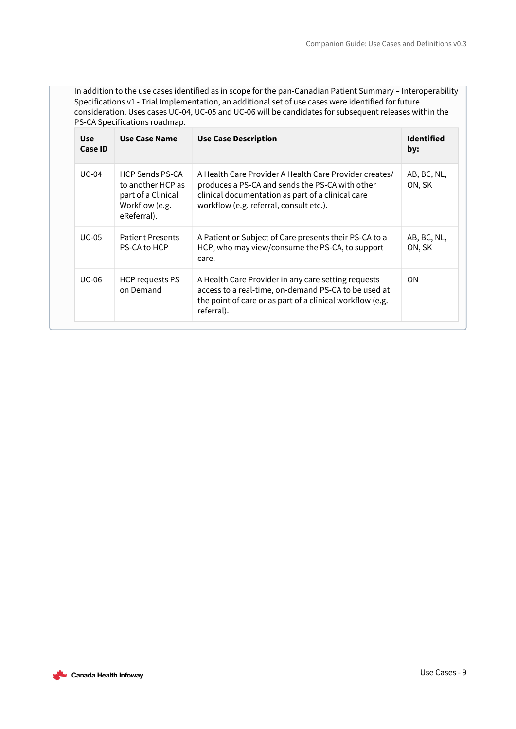In addition to the use cases identified as in scope for the pan-Canadian Patient Summary – Interoperability Specifications v1 - Trial Implementation, an additional set of use cases were identified for future consideration. Uses cases UC-04, UC-05 and UC-06 will be candidates for subsequent releases within the PS-CA Specifications roadmap.

| <b>Use</b><br>Case ID | Use Case Name                                                                                      | <b>Use Case Description</b>                                                                                                                                                                               | <b>Identified</b><br>by: |
|-----------------------|----------------------------------------------------------------------------------------------------|-----------------------------------------------------------------------------------------------------------------------------------------------------------------------------------------------------------|--------------------------|
| $UC-04$               | <b>HCP Sends PS-CA</b><br>to another HCP as<br>part of a Clinical<br>Workflow (e.g.<br>eReferral). | A Health Care Provider A Health Care Provider creates/<br>produces a PS-CA and sends the PS-CA with other<br>clinical documentation as part of a clinical care<br>workflow (e.g. referral, consult etc.). | AB, BC, NL,<br>ON, SK    |
| <b>UC-05</b>          | <b>Patient Presents</b><br>PS-CA to HCP                                                            | A Patient or Subject of Care presents their PS-CA to a<br>HCP, who may view/consume the PS-CA, to support<br>care.                                                                                        | AB, BC, NL,<br>ON, SK    |
| <b>UC-06</b>          | HCP requests PS<br>on Demand                                                                       | A Health Care Provider in any care setting requests<br>access to a real-time, on-demand PS-CA to be used at<br>the point of care or as part of a clinical workflow (e.g.<br>referral).                    | <b>ON</b>                |

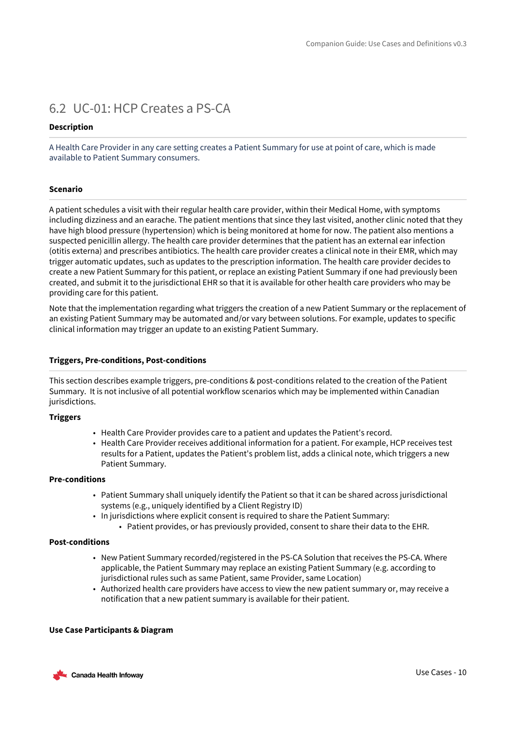### <span id="page-9-0"></span>6.2 UC-01: HCP Creates a PS-CA

### **Description**

A Health Care Provider in any care setting creates a Patient Summary for use at point of care, which is made available to Patient Summary consumers.

### **Scenario**

A patient schedules a visit with their regular health care provider, within their Medical Home, with symptoms including dizziness and an earache. The patient mentions that since they last visited, another clinic noted that they have high blood pressure (hypertension) which is being monitored at home for now. The patient also mentions a suspected penicillin allergy. The health care provider determines that the patient has an external ear infection (otitis externa) and prescribes antibiotics. The health care provider creates a clinical note in their EMR, which may trigger automatic updates, such as updates to the prescription information. The health care provider decides to create a new Patient Summary for this patient, or replace an existing Patient Summary if one had previously been created, and submit it to the jurisdictional EHR so that it is available for other health care providers who may be providing care for this patient.

Note that the implementation regarding what triggers the creation of a new Patient Summary or the replacement of an existing Patient Summary may be automated and/or vary between solutions. For example, updates to specific clinical information may trigger an update to an existing Patient Summary.

### **Triggers, Pre-conditions, Post-conditions**

This section describes example triggers, pre-conditions & post-conditions related to the creation of the Patient Summary. It is not inclusive of all potential workflow scenarios which may be implemented within Canadian jurisdictions.

### **Triggers**

- Health Care Provider provides care to a patient and updates the Patient's record.
- Health Care Provider receives additional information for a patient. For example, HCP receives test results for a Patient, updates the Patient's problem list, adds a clinical note, which triggers a new Patient Summary.

### **Pre-conditions**

- Patient Summary shall uniquely identify the Patient so that it can be shared across jurisdictional systems (e.g., uniquely identified by a Client Registry ID)
- In jurisdictions where explicit consent is required to share the Patient Summary:
	- Patient provides, or has previously provided, consent to share their data to the EHR.

### **Post-conditions**

- New Patient Summary recorded/registered in the PS-CA Solution that receives the PS-CA. Where applicable, the Patient Summary may replace an existing Patient Summary (e.g. according to jurisdictional rules such as same Patient, same Provider, same Location)
- Authorized health care providers have access to view the new patient summary or, may receive a notification that a new patient summary is available for their patient.

### **Use Case Participants & Diagram**

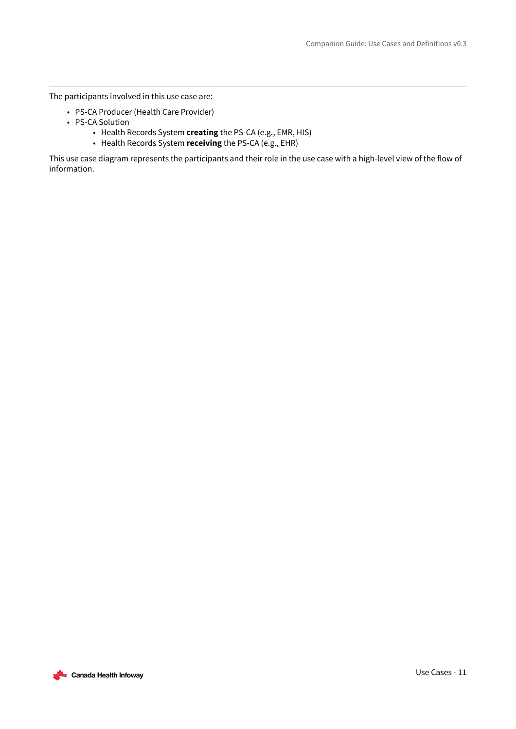The participants involved in this use case are:

- PS-CA Producer (Health Care Provider)
- PS-CA Solution
	- Health Records System **creating** the PS-CA (e.g., EMR, HIS)
	- Health Records System **receiving** the PS-CA (e.g., EHR)

This use case diagram represents the participants and their role in the use case with a high-level view of the flow of information.

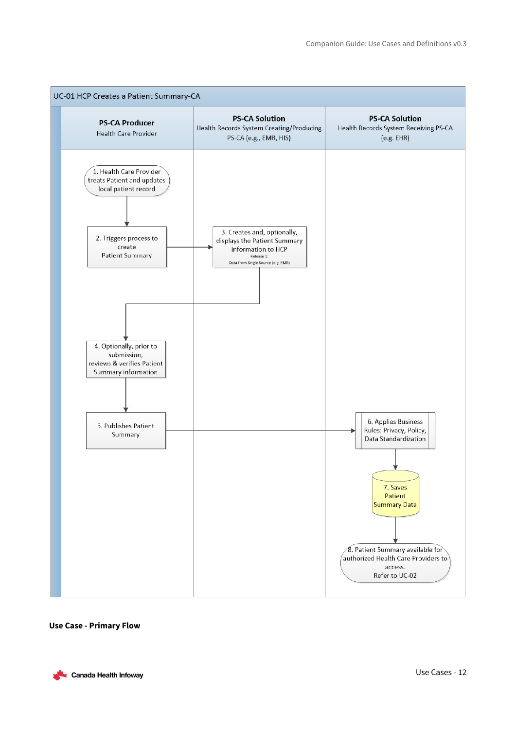

#### **Use Case - Primary Flow**

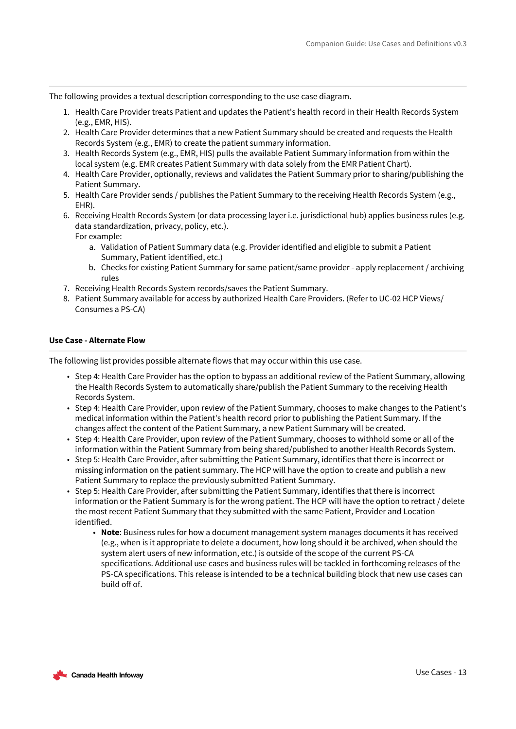The following provides a textual description corresponding to the use case diagram.

- 1. Health Care Provider treats Patient and updates the Patient's health record in their Health Records System (e.g., EMR, HIS).
- 2. Health Care Provider determines that a new Patient Summary should be created and requests the Health Records System (e.g., EMR) to create the patient summary information.
- 3. Health Records System (e.g., EMR, HIS) pulls the available Patient Summary information from within the local system (e.g. EMR creates Patient Summary with data solely from the EMR Patient Chart).
- 4. Health Care Provider, optionally, reviews and validates the Patient Summary prior to sharing/publishing the Patient Summary.
- 5. Health Care Provider sends / publishes the Patient Summary to the receiving Health Records System (e.g., EHR).
- 6. Receiving Health Records System (or data processing layer i.e. jurisdictional hub) applies business rules (e.g. data standardization, privacy, policy, etc.). For example:
	- a. Validation of Patient Summary data (e.g. Provider identified and eligible to submit a Patient Summary, Patient identified, etc.)
	- b. Checks for existing Patient Summary for same patient/same provider apply replacement / archiving rules
- 7. Receiving Health Records System records/saves the Patient Summary.
- 8. Patient Summary available for access by authorized Health Care Providers. (Refer to UC-02 HCP Views/ Consumes a PS-CA)

### **Use Case - Alternate Flow**

The following list provides possible alternate flows that may occur within this use case.

- Step 4: Health Care Provider has the option to bypass an additional review of the Patient Summary, allowing the Health Records System to automatically share/publish the Patient Summary to the receiving Health Records System.
- Step 4: Health Care Provider, upon review of the Patient Summary, chooses to make changes to the Patient's medical information within the Patient's health record prior to publishing the Patient Summary. If the changes affect the content of the Patient Summary, a new Patient Summary will be created.
- Step 4: Health Care Provider, upon review of the Patient Summary, chooses to withhold some or all of the information within the Patient Summary from being shared/published to another Health Records System.
- Step 5: Health Care Provider, after submitting the Patient Summary, identifies that there is incorrect or missing information on the patient summary. The HCP will have the option to create and publish a new Patient Summary to replace the previously submitted Patient Summary.
- Step 5: Health Care Provider, after submitting the Patient Summary, identifies that there is incorrect information or the Patient Summary is for the wrong patient. The HCP will have the option to retract / delete the most recent Patient Summary that they submitted with the same Patient, Provider and Location identified.
	- **Note**: Business rules for how a document management system manages documents it has received (e.g., when is it appropriate to delete a document, how long should it be archived, when should the system alert users of new information, etc.) is outside of the scope of the current PS-CA specifications. Additional use cases and business rules will be tackled in forthcoming releases of the PS-CA specifications. This release is intended to be a technical building block that new use cases can build off of.

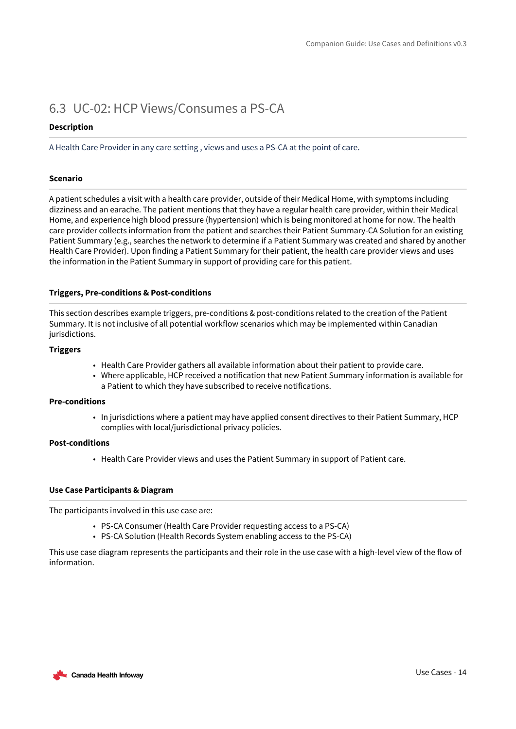### <span id="page-13-0"></span>6.3 UC-02: HCP Views/Consumes a PS-CA

### **Description**

A Health Care Provider in any care setting , views and uses a PS-CA at the point of care.

### **Scenario**

A patient schedules a visit with a health care provider, outside of their Medical Home, with symptoms including dizziness and an earache. The patient mentions that they have a regular health care provider, within their Medical Home, and experience high blood pressure (hypertension) which is being monitored at home for now. The health care provider collects information from the patient and searches their Patient Summary-CA Solution for an existing Patient Summary (e.g., searches the network to determine if a Patient Summary was created and shared by another Health Care Provider). Upon finding a Patient Summary for their patient, the health care provider views and uses the information in the Patient Summary in support of providing care for this patient.

### **Triggers, Pre-conditions & Post-conditions**

This section describes example triggers, pre-conditions & post-conditions related to the creation of the Patient Summary. It is not inclusive of all potential workflow scenarios which may be implemented within Canadian jurisdictions.

### **Triggers**

- Health Care Provider gathers all available information about their patient to provide care.
- Where applicable, HCP received a notification that new Patient Summary information is available for a Patient to which they have subscribed to receive notifications.

### **Pre-conditions**

• In jurisdictions where a patient may have applied consent directives to their Patient Summary, HCP complies with local/jurisdictional privacy policies.

### **Post-conditions**

• Health Care Provider views and uses the Patient Summary in support of Patient care.

### **Use Case Participants & Diagram**

The participants involved in this use case are:

- PS-CA Consumer (Health Care Provider requesting access to a PS-CA)
- PS-CA Solution (Health Records System enabling access to the PS-CA)

This use case diagram represents the participants and their role in the use case with a high-level view of the flow of information.

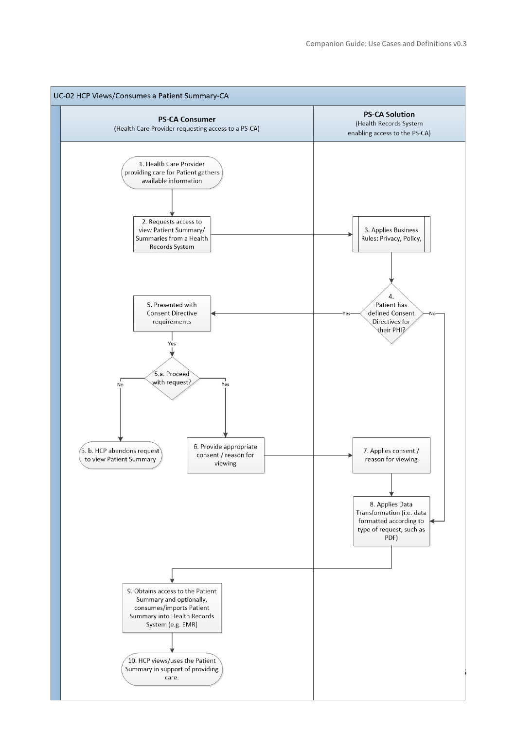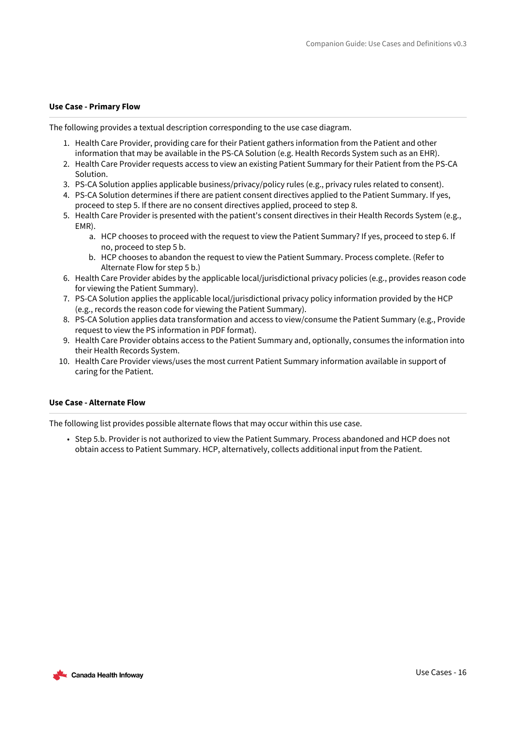### **Use Case - Primary Flow**

The following provides a textual description corresponding to the use case diagram.

- 1. Health Care Provider, providing care for their Patient gathers information from the Patient and other information that may be available in the PS-CA Solution (e.g. Health Records System such as an EHR).
- 2. Health Care Provider requests access to view an existing Patient Summary for their Patient from the PS-CA Solution.
- 3. PS-CA Solution applies applicable business/privacy/policy rules (e.g., privacy rules related to consent).
- 4. PS-CA Solution determines if there are patient consent directives applied to the Patient Summary. If yes, proceed to step 5. If there are no consent directives applied, proceed to step 8.
- 5. Health Care Provider is presented with the patient's consent directives in their Health Records System (e.g., EMR).
	- a. HCP chooses to proceed with the request to view the Patient Summary? If yes, proceed to step 6. If no, proceed to step 5 b.
	- b. HCP chooses to abandon the request to view the Patient Summary. Process complete. (Refer to Alternate Flow for step 5 b.)
- 6. Health Care Provider abides by the applicable local/jurisdictional privacy policies (e.g., provides reason code for viewing the Patient Summary).
- 7. PS-CA Solution applies the applicable local/jurisdictional privacy policy information provided by the HCP (e.g., records the reason code for viewing the Patient Summary).
- 8. PS-CA Solution applies data transformation and access to view/consume the Patient Summary (e.g., Provide request to view the PS information in PDF format).
- 9. Health Care Provider obtains access to the Patient Summary and, optionally, consumes the information into their Health Records System.
- 10. Health Care Provider views/uses the most current Patient Summary information available in support of caring for the Patient.

### **Use Case - Alternate Flow**

The following list provides possible alternate flows that may occur within this use case.

• Step 5.b. Provider is not authorized to view the Patient Summary. Process abandoned and HCP does not obtain access to Patient Summary. HCP, alternatively, collects additional input from the Patient.

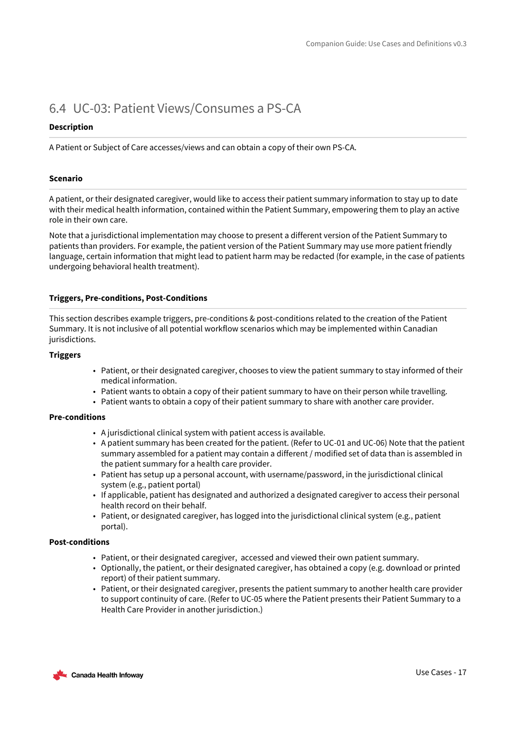### <span id="page-16-0"></span>6.4 UC-03: Patient Views/Consumes a PS-CA

### **Description**

A Patient or Subject of Care accesses/views and can obtain a copy of their own PS-CA.

### **Scenario**

A patient, or their designated caregiver, would like to access their patient summary information to stay up to date with their medical health information, contained within the Patient Summary, empowering them to play an active role in their own care.

Note that a jurisdictional implementation may choose to present a different version of the Patient Summary to patients than providers. For example, the patient version of the Patient Summary may use more patient friendly language, certain information that might lead to patient harm may be redacted (for example, in the case of patients undergoing behavioral health treatment).

### **Triggers, Pre-conditions, Post-Conditions**

This section describes example triggers, pre-conditions & post-conditions related to the creation of the Patient Summary. It is not inclusive of all potential workflow scenarios which may be implemented within Canadian jurisdictions.

### **Triggers**

- Patient, or their designated caregiver, chooses to view the patient summary to stay informed of their medical information.
- Patient wants to obtain a copy of their patient summary to have on their person while travelling.
- Patient wants to obtain a copy of their patient summary to share with another care provider.

### **Pre-conditions**

- A jurisdictional clinical system with patient access is available.
- A patient summary has been created for the patient. (Refer to UC-01 and UC-06) Note that the patient summary assembled for a patient may contain a different / modified set of data than is assembled in the patient summary for a health care provider.
- Patient has setup up a personal account, with username/password, in the jurisdictional clinical system (e.g., patient portal)
- If applicable, patient has designated and authorized a designated caregiver to access their personal health record on their behalf.
- Patient, or designated caregiver, has logged into the jurisdictional clinical system (e.g., patient portal).

### **Post-conditions**

- Patient, or their designated caregiver, accessed and viewed their own patient summary.
- Optionally, the patient, or their designated caregiver, has obtained a copy (e.g. download or printed report) of their patient summary.
- Patient, or their designated caregiver, presents the patient summary to another health care provider to support continuity of care. (Refer to UC-05 where the Patient presents their Patient Summary to a Health Care Provider in another jurisdiction.)

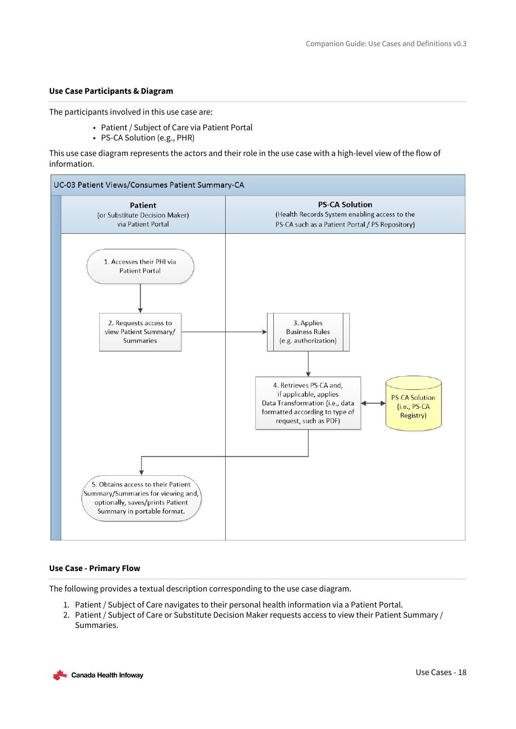### **Use Case Participants & Diagram**

The participants involved in this use case are:

- Patient / Subject of Care via Patient Portal
- PS-CA Solution (e.g., PHR)

This use case diagram represents the actors and their role in the use case with a high-level view of the flow of information.



#### **Use Case - Primary Flow**

The following provides a textual description corresponding to the use case diagram.

- 1. Patient / Subject of Care navigates to their personal health information via a Patient Portal.
- 2. Patient / Subject of Care or Substitute Decision Maker requests access to view their Patient Summary / Summaries.

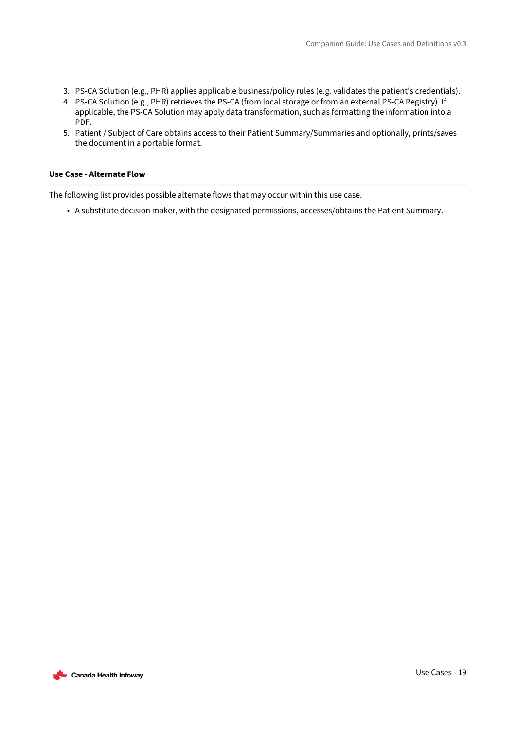- 3. PS-CA Solution (e.g., PHR) applies applicable business/policy rules (e.g. validates the patient's credentials).
- 4. PS-CA Solution (e.g., PHR) retrieves the PS-CA (from local storage or from an external PS-CA Registry). If applicable, the PS-CA Solution may apply data transformation, such as formatting the information into a PDF.
- 5. Patient / Subject of Care obtains access to their Patient Summary/Summaries and optionally, prints/saves the document in a portable format.

#### **Use Case - Alternate Flow**

The following list provides possible alternate flows that may occur within this use case.

• A substitute decision maker, with the designated permissions, accesses/obtains the Patient Summary.

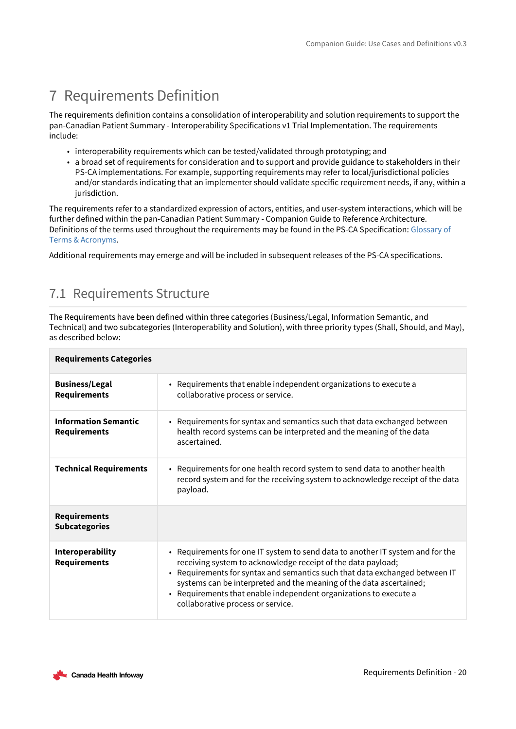# <span id="page-19-0"></span>7 Requirements Definition

The requirements definition contains a consolidation of interoperability and solution requirements to support the pan-Canadian Patient Summary - Interoperability Specifications v1 Trial Implementation. The requirements include:

- interoperability requirements which can be tested/validated through prototyping; and
- a broad set of requirements for consideration and to support and provide guidance to stakeholders in their PS-CA implementations. For example, supporting requirements may refer to local/jurisdictional policies and/or standards indicating that an implementer should validate specific requirement needs, if any, within a jurisdiction.

The requirements refer to a standardized expression of actors, entities, and user-system interactions, which will be further defined within the pan-Canadian Patient Summary - Companion Guide to Reference Architecture. [Definitions of the terms used throughout the requirements may be found in the PS-CA Specification:](https://infoscribe.infoway-inforoute.ca/display/PSCAV03/AppendixB-Glossary-of-Terms) Glossary of Terms & Acronyms.

<span id="page-19-1"></span>Additional requirements may emerge and will be included in subsequent releases of the PS-CA specifications.

### 7.1 Requirements Structure

The Requirements have been defined within three categories (Business/Legal, Information Semantic, and Technical) and two subcategories (Interoperability and Solution), with three priority types (Shall, Should, and May), as described below:

| <b>Requirements Categories</b>                     |                                                                                                                                                                                                                                                                                                                                                                                                                |
|----------------------------------------------------|----------------------------------------------------------------------------------------------------------------------------------------------------------------------------------------------------------------------------------------------------------------------------------------------------------------------------------------------------------------------------------------------------------------|
| <b>Business/Legal</b><br><b>Requirements</b>       | • Requirements that enable independent organizations to execute a<br>collaborative process or service.                                                                                                                                                                                                                                                                                                         |
| <b>Information Semantic</b><br><b>Requirements</b> | • Requirements for syntax and semantics such that data exchanged between<br>health record systems can be interpreted and the meaning of the data<br>ascertained.                                                                                                                                                                                                                                               |
| <b>Technical Requirements</b>                      | • Requirements for one health record system to send data to another health<br>record system and for the receiving system to acknowledge receipt of the data<br>payload.                                                                                                                                                                                                                                        |
| <b>Requirements</b><br><b>Subcategories</b>        |                                                                                                                                                                                                                                                                                                                                                                                                                |
| Interoperability<br><b>Requirements</b>            | • Requirements for one IT system to send data to another IT system and for the<br>receiving system to acknowledge receipt of the data payload;<br>• Requirements for syntax and semantics such that data exchanged between IT<br>systems can be interpreted and the meaning of the data ascertained;<br>• Requirements that enable independent organizations to execute a<br>collaborative process or service. |

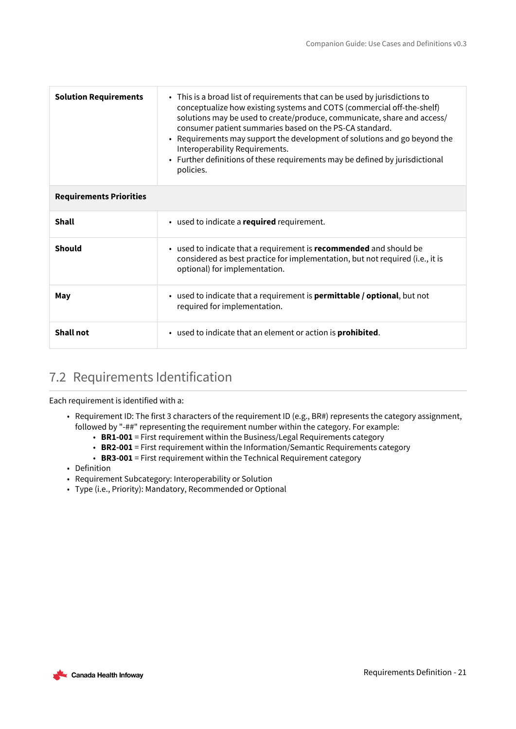| <b>Solution Requirements</b>   | • This is a broad list of requirements that can be used by jurisdictions to<br>conceptualize how existing systems and COTS (commercial off-the-shelf)<br>solutions may be used to create/produce, communicate, share and access/<br>consumer patient summaries based on the PS-CA standard.<br>• Requirements may support the development of solutions and go beyond the<br>Interoperability Requirements.<br>• Further definitions of these requirements may be defined by jurisdictional<br>policies. |
|--------------------------------|---------------------------------------------------------------------------------------------------------------------------------------------------------------------------------------------------------------------------------------------------------------------------------------------------------------------------------------------------------------------------------------------------------------------------------------------------------------------------------------------------------|
| <b>Requirements Priorities</b> |                                                                                                                                                                                                                                                                                                                                                                                                                                                                                                         |
| <b>Shall</b>                   | • used to indicate a required requirement.                                                                                                                                                                                                                                                                                                                                                                                                                                                              |
| Should                         | • used to indicate that a requirement is recommended and should be<br>considered as best practice for implementation, but not required (i.e., it is<br>optional) for implementation.                                                                                                                                                                                                                                                                                                                    |
| May                            | • used to indicate that a requirement is <b>permittable / optional</b> , but not<br>required for implementation.                                                                                                                                                                                                                                                                                                                                                                                        |
| <b>Shall not</b>               | • used to indicate that an element or action is <b>prohibited</b> .                                                                                                                                                                                                                                                                                                                                                                                                                                     |

### <span id="page-20-0"></span>7.2 Requirements Identification

Each requirement is identified with a:

- Requirement ID: The first 3 characters of the requirement ID (e.g., BR#) represents the category assignment, followed by "-##" representing the requirement number within the category. For example:
	- **BR1-001** = First requirement within the Business/Legal Requirements category
	- **BR2-001** = First requirement within the Information/Semantic Requirements category
	- **BR3-001** = First requirement within the Technical Requirement category
- Definition
- Requirement Subcategory: Interoperability or Solution
- Type (i.e., Priority): Mandatory, Recommended or Optional

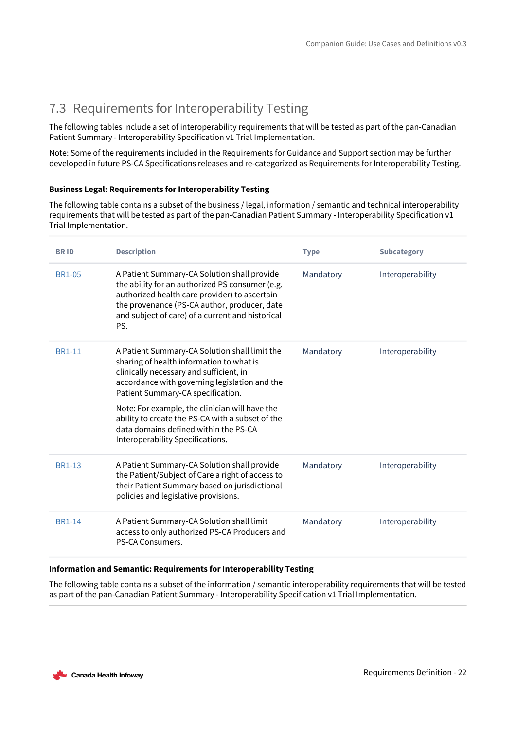### <span id="page-21-0"></span>7.3 Requirements for Interoperability Testing

The following tables include a set of interoperability requirements that will be tested as part of the pan-Canadian Patient Summary - Interoperability Specification v1 Trial Implementation.

Note: Some of the requirements included in the Requirements for Guidance and Support section may be further developed in future PS-CA Specifications releases and re-categorized as Requirements for Interoperability Testing.

### **Business Legal: Requirements for Interoperability Testing**

The following table contains a subset of the business / legal, information / semantic and technical interoperability requirements that will be tested as part of the pan-Canadian Patient Summary - Interoperability Specification v1 Trial Implementation.

| <b>BRID</b>   | <b>Description</b>                                                                                                                                                                                                                                                                                                                                                                                            | <b>Type</b> | <b>Subcategory</b> |
|---------------|---------------------------------------------------------------------------------------------------------------------------------------------------------------------------------------------------------------------------------------------------------------------------------------------------------------------------------------------------------------------------------------------------------------|-------------|--------------------|
| <b>BR1-05</b> | A Patient Summary-CA Solution shall provide<br>the ability for an authorized PS consumer (e.g.<br>authorized health care provider) to ascertain<br>the provenance (PS-CA author, producer, date<br>and subject of care) of a current and historical<br>PS.                                                                                                                                                    | Mandatory   | Interoperability   |
| <b>BR1-11</b> | A Patient Summary-CA Solution shall limit the<br>sharing of health information to what is<br>clinically necessary and sufficient, in<br>accordance with governing legislation and the<br>Patient Summary-CA specification.<br>Note: For example, the clinician will have the<br>ability to create the PS-CA with a subset of the<br>data domains defined within the PS-CA<br>Interoperability Specifications. | Mandatory   | Interoperability   |
| <b>BR1-13</b> | A Patient Summary-CA Solution shall provide<br>the Patient/Subject of Care a right of access to<br>their Patient Summary based on jurisdictional<br>policies and legislative provisions.                                                                                                                                                                                                                      | Mandatory   | Interoperability   |
| <b>BR1-14</b> | A Patient Summary-CA Solution shall limit<br>access to only authorized PS-CA Producers and<br>PS-CA Consumers.                                                                                                                                                                                                                                                                                                | Mandatory   | Interoperability   |

### **Information and Semantic: Requirements for Interoperability Testing**

The following table contains a subset of the information / semantic interoperability requirements that will be tested as part of the pan-Canadian Patient Summary - Interoperability Specification v1 Trial Implementation.

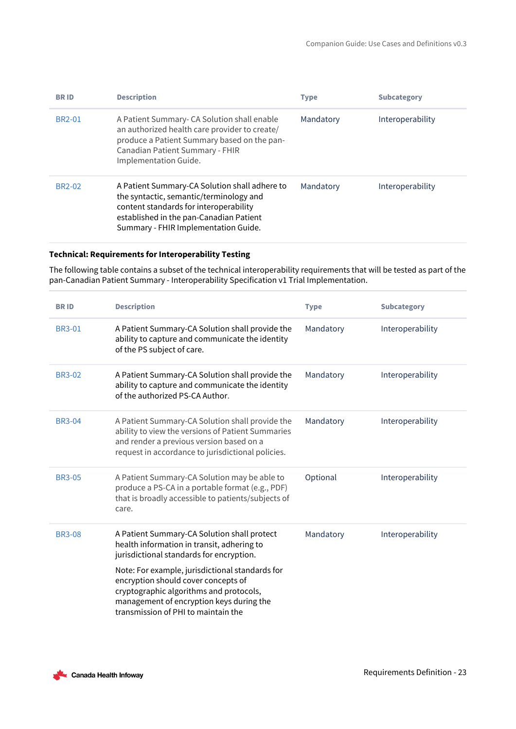| <b>BRID</b>         | <b>Description</b>                                                                                                                                                                                                    | <b>Type</b> | <b>Subcategory</b> |
|---------------------|-----------------------------------------------------------------------------------------------------------------------------------------------------------------------------------------------------------------------|-------------|--------------------|
| <b>BR2-01</b>       | A Patient Summary- CA Solution shall enable<br>an authorized health care provider to create/<br>produce a Patient Summary based on the pan-<br>Canadian Patient Summary - FHIR<br>Implementation Guide.               | Mandatory   | Interoperability   |
| BR <sub>2</sub> -02 | A Patient Summary-CA Solution shall adhere to<br>the syntactic, semantic/terminology and<br>content standards for interoperability<br>established in the pan-Canadian Patient<br>Summary - FHIR Implementation Guide. | Mandatory   | Interoperability   |

### **Technical: Requirements for Interoperability Testing**

The following table contains a subset of the technical interoperability requirements that will be tested as part of the pan-Canadian Patient Summary - Interoperability Specification v1 Trial Implementation.

| <b>BRID</b>   | <b>Description</b>                                                                                                                                                                                                   | <b>Type</b> | <b>Subcategory</b> |
|---------------|----------------------------------------------------------------------------------------------------------------------------------------------------------------------------------------------------------------------|-------------|--------------------|
| <b>BR3-01</b> | A Patient Summary-CA Solution shall provide the<br>ability to capture and communicate the identity<br>of the PS subject of care.                                                                                     | Mandatory   | Interoperability   |
| <b>BR3-02</b> | A Patient Summary-CA Solution shall provide the<br>ability to capture and communicate the identity<br>of the authorized PS-CA Author.                                                                                | Mandatory   | Interoperability   |
| <b>BR3-04</b> | A Patient Summary-CA Solution shall provide the<br>ability to view the versions of Patient Summaries<br>and render a previous version based on a<br>request in accordance to jurisdictional policies.                | Mandatory   | Interoperability   |
| <b>BR3-05</b> | A Patient Summary-CA Solution may be able to<br>produce a PS-CA in a portable format (e.g., PDF)<br>that is broadly accessible to patients/subjects of<br>care.                                                      | Optional    | Interoperability   |
| <b>BR3-08</b> | A Patient Summary-CA Solution shall protect<br>health information in transit, adhering to<br>jurisdictional standards for encryption.                                                                                | Mandatory   | Interoperability   |
|               | Note: For example, jurisdictional standards for<br>encryption should cover concepts of<br>cryptographic algorithms and protocols,<br>management of encryption keys during the<br>transmission of PHI to maintain the |             |                    |

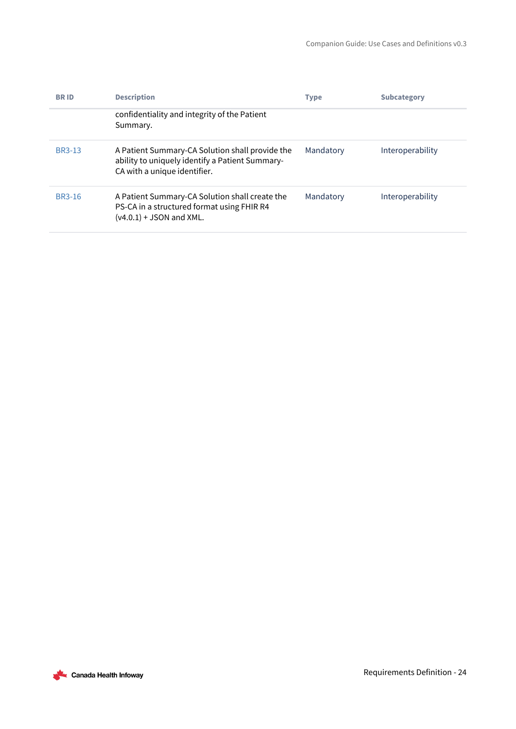| <b>BRID</b>   | <b>Description</b>                                                                                                                 | <b>Type</b> | <b>Subcategory</b> |
|---------------|------------------------------------------------------------------------------------------------------------------------------------|-------------|--------------------|
|               | confidentiality and integrity of the Patient<br>Summary.                                                                           |             |                    |
| <b>BR3-13</b> | A Patient Summary-CA Solution shall provide the<br>ability to uniquely identify a Patient Summary-<br>CA with a unique identifier. | Mandatory   | Interoperability   |
| BR3-16        | A Patient Summary-CA Solution shall create the<br>PS-CA in a structured format using FHIR R4<br>$(v4.0.1) +$ JSON and XML.         | Mandatory   | Interoperability   |

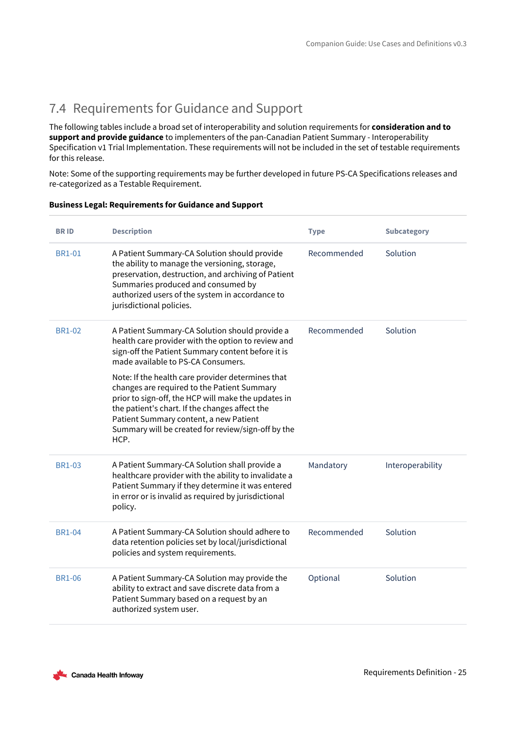### <span id="page-24-0"></span>7.4 Requirements for Guidance and Support

The following tables include a broad set of interoperability and solution requirements for **consideration and to support and provide guidance** to implementers of the pan-Canadian Patient Summary - Interoperability Specification v1 Trial Implementation. These requirements will not be included in the set of testable requirements for this release.

Note: Some of the supporting requirements may be further developed in future PS-CA Specifications releases and re-categorized as a Testable Requirement.

| <b>BRID</b>   | <b>Description</b>                                                                                                                                                                                                                                                                                                | <b>Type</b> | <b>Subcategory</b> |
|---------------|-------------------------------------------------------------------------------------------------------------------------------------------------------------------------------------------------------------------------------------------------------------------------------------------------------------------|-------------|--------------------|
| <b>BR1-01</b> | A Patient Summary-CA Solution should provide<br>the ability to manage the versioning, storage,<br>preservation, destruction, and archiving of Patient<br>Summaries produced and consumed by<br>authorized users of the system in accordance to<br>jurisdictional policies.                                        | Recommended | Solution           |
| <b>BR1-02</b> | A Patient Summary-CA Solution should provide a<br>health care provider with the option to review and<br>sign-off the Patient Summary content before it is<br>made available to PS-CA Consumers.                                                                                                                   | Recommended | Solution           |
|               | Note: If the health care provider determines that<br>changes are required to the Patient Summary<br>prior to sign-off, the HCP will make the updates in<br>the patient's chart. If the changes affect the<br>Patient Summary content, a new Patient<br>Summary will be created for review/sign-off by the<br>HCP. |             |                    |
| <b>BR1-03</b> | A Patient Summary-CA Solution shall provide a<br>healthcare provider with the ability to invalidate a<br>Patient Summary if they determine it was entered<br>in error or is invalid as required by jurisdictional<br>policy.                                                                                      | Mandatory   | Interoperability   |
| <b>BR1-04</b> | A Patient Summary-CA Solution should adhere to<br>data retention policies set by local/jurisdictional<br>policies and system requirements.                                                                                                                                                                        | Recommended | Solution           |
| <b>BR1-06</b> | A Patient Summary-CA Solution may provide the<br>ability to extract and save discrete data from a<br>Patient Summary based on a request by an<br>authorized system user.                                                                                                                                          | Optional    | Solution           |

### **Business Legal: Requirements for Guidance and Support**

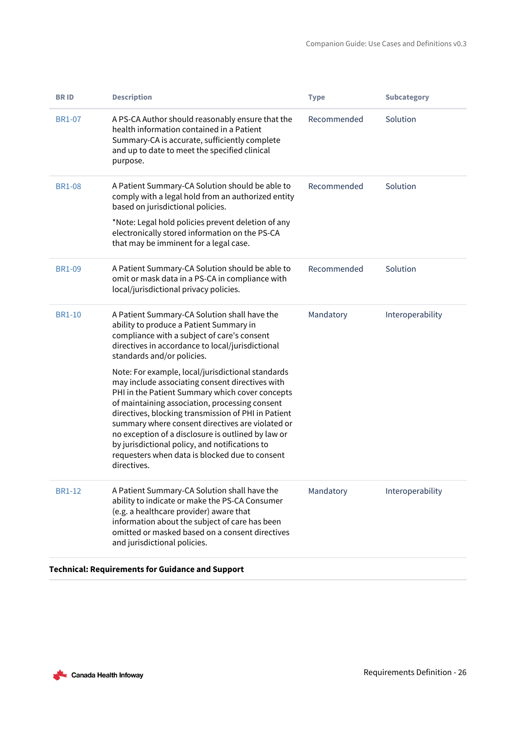| <b>BRID</b>   | <b>Description</b>                                                                                                                                                                                                                                                                                                                                                                                                                                                                            | <b>Type</b> | <b>Subcategory</b> |
|---------------|-----------------------------------------------------------------------------------------------------------------------------------------------------------------------------------------------------------------------------------------------------------------------------------------------------------------------------------------------------------------------------------------------------------------------------------------------------------------------------------------------|-------------|--------------------|
| <b>BR1-07</b> | A PS-CA Author should reasonably ensure that the<br>health information contained in a Patient<br>Summary-CA is accurate, sufficiently complete<br>and up to date to meet the specified clinical<br>purpose.                                                                                                                                                                                                                                                                                   | Recommended | Solution           |
| <b>BR1-08</b> | A Patient Summary-CA Solution should be able to<br>comply with a legal hold from an authorized entity<br>based on jurisdictional policies.<br>*Note: Legal hold policies prevent deletion of any<br>electronically stored information on the PS-CA<br>that may be imminent for a legal case.                                                                                                                                                                                                  | Recommended | Solution           |
| <b>BR1-09</b> | A Patient Summary-CA Solution should be able to<br>omit or mask data in a PS-CA in compliance with<br>local/jurisdictional privacy policies.                                                                                                                                                                                                                                                                                                                                                  | Recommended | Solution           |
| <b>BR1-10</b> | A Patient Summary-CA Solution shall have the<br>ability to produce a Patient Summary in<br>compliance with a subject of care's consent<br>directives in accordance to local/jurisdictional<br>standards and/or policies.                                                                                                                                                                                                                                                                      | Mandatory   | Interoperability   |
|               | Note: For example, local/jurisdictional standards<br>may include associating consent directives with<br>PHI in the Patient Summary which cover concepts<br>of maintaining association, processing consent<br>directives, blocking transmission of PHI in Patient<br>summary where consent directives are violated or<br>no exception of a disclosure is outlined by law or<br>by jurisdictional policy, and notifications to<br>requesters when data is blocked due to consent<br>directives. |             |                    |
| <b>BR1-12</b> | A Patient Summary-CA Solution shall have the<br>ability to indicate or make the PS-CA Consumer<br>(e.g. a healthcare provider) aware that<br>information about the subject of care has been<br>omitted or masked based on a consent directives<br>and jurisdictional policies.                                                                                                                                                                                                                | Mandatory   | Interoperability   |

### **Technical: Requirements for Guidance and Support**

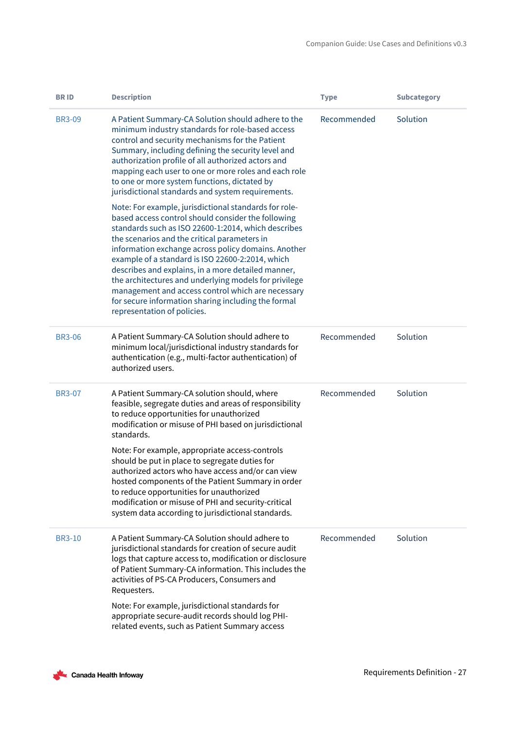| <b>BRID</b>   | <b>Description</b>                                                                                                                                                                                                                                                                                                                                                                                                                                                                                                                                                                      | <b>Type</b> | <b>Subcategory</b> |
|---------------|-----------------------------------------------------------------------------------------------------------------------------------------------------------------------------------------------------------------------------------------------------------------------------------------------------------------------------------------------------------------------------------------------------------------------------------------------------------------------------------------------------------------------------------------------------------------------------------------|-------------|--------------------|
| <b>BR3-09</b> | A Patient Summary-CA Solution should adhere to the<br>minimum industry standards for role-based access<br>control and security mechanisms for the Patient<br>Summary, including defining the security level and<br>authorization profile of all authorized actors and<br>mapping each user to one or more roles and each role<br>to one or more system functions, dictated by<br>jurisdictional standards and system requirements.                                                                                                                                                      | Recommended | Solution           |
|               | Note: For example, jurisdictional standards for role-<br>based access control should consider the following<br>standards such as ISO 22600-1:2014, which describes<br>the scenarios and the critical parameters in<br>information exchange across policy domains. Another<br>example of a standard is ISO 22600-2:2014, which<br>describes and explains, in a more detailed manner,<br>the architectures and underlying models for privilege<br>management and access control which are necessary<br>for secure information sharing including the formal<br>representation of policies. |             |                    |
| <b>BR3-06</b> | A Patient Summary-CA Solution should adhere to<br>minimum local/jurisdictional industry standards for<br>authentication (e.g., multi-factor authentication) of<br>authorized users.                                                                                                                                                                                                                                                                                                                                                                                                     | Recommended | Solution           |
| <b>BR3-07</b> | A Patient Summary-CA solution should, where<br>feasible, segregate duties and areas of responsibility<br>to reduce opportunities for unauthorized<br>modification or misuse of PHI based on jurisdictional<br>standards.<br>Note: For example, appropriate access-controls                                                                                                                                                                                                                                                                                                              | Recommended | Solution           |
|               | should be put in place to segregate duties for<br>authorized actors who have access and/or can view<br>hosted components of the Patient Summary in order<br>to reduce opportunities for unauthorized<br>modification or misuse of PHI and security-critical<br>system data according to jurisdictional standards.                                                                                                                                                                                                                                                                       |             |                    |
| <b>BR3-10</b> | A Patient Summary-CA Solution should adhere to<br>jurisdictional standards for creation of secure audit<br>logs that capture access to, modification or disclosure<br>of Patient Summary-CA information. This includes the<br>activities of PS-CA Producers, Consumers and<br>Requesters.                                                                                                                                                                                                                                                                                               | Recommended | Solution           |
|               | Note: For example, jurisdictional standards for<br>appropriate secure-audit records should log PHI-<br>related events, such as Patient Summary access                                                                                                                                                                                                                                                                                                                                                                                                                                   |             |                    |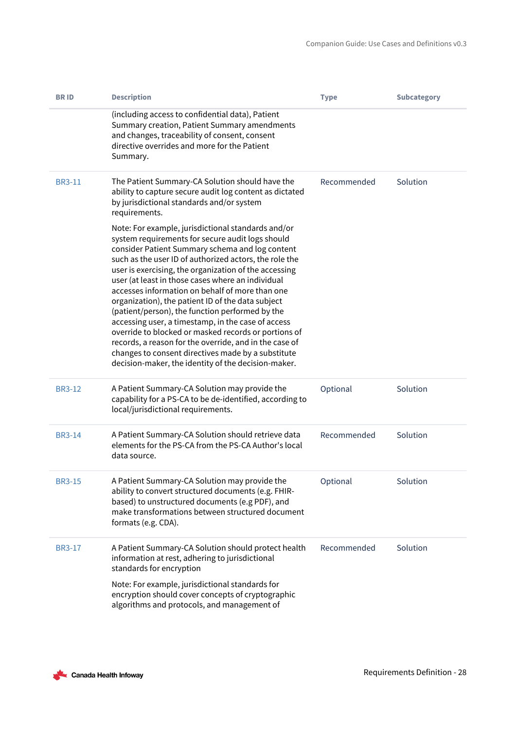| <b>BRID</b>   | <b>Description</b>                                                                                                                                                                                                                                                                                                                                                                                                                                                                                                                                                                                                                                                                                                                                                                | <b>Type</b> | <b>Subcategory</b> |
|---------------|-----------------------------------------------------------------------------------------------------------------------------------------------------------------------------------------------------------------------------------------------------------------------------------------------------------------------------------------------------------------------------------------------------------------------------------------------------------------------------------------------------------------------------------------------------------------------------------------------------------------------------------------------------------------------------------------------------------------------------------------------------------------------------------|-------------|--------------------|
|               | (including access to confidential data), Patient<br>Summary creation, Patient Summary amendments<br>and changes, traceability of consent, consent<br>directive overrides and more for the Patient<br>Summary.                                                                                                                                                                                                                                                                                                                                                                                                                                                                                                                                                                     |             |                    |
| <b>BR3-11</b> | The Patient Summary-CA Solution should have the<br>ability to capture secure audit log content as dictated<br>by jurisdictional standards and/or system<br>requirements.                                                                                                                                                                                                                                                                                                                                                                                                                                                                                                                                                                                                          | Recommended | Solution           |
|               | Note: For example, jurisdictional standards and/or<br>system requirements for secure audit logs should<br>consider Patient Summary schema and log content<br>such as the user ID of authorized actors, the role the<br>user is exercising, the organization of the accessing<br>user (at least in those cases where an individual<br>accesses information on behalf of more than one<br>organization), the patient ID of the data subject<br>(patient/person), the function performed by the<br>accessing user, a timestamp, in the case of access<br>override to blocked or masked records or portions of<br>records, a reason for the override, and in the case of<br>changes to consent directives made by a substitute<br>decision-maker, the identity of the decision-maker. |             |                    |
| <b>BR3-12</b> | A Patient Summary-CA Solution may provide the<br>capability for a PS-CA to be de-identified, according to<br>local/jurisdictional requirements.                                                                                                                                                                                                                                                                                                                                                                                                                                                                                                                                                                                                                                   | Optional    | Solution           |
| <b>BR3-14</b> | A Patient Summary-CA Solution should retrieve data<br>elements for the PS-CA from the PS-CA Author's local<br>data source.                                                                                                                                                                                                                                                                                                                                                                                                                                                                                                                                                                                                                                                        | Recommended | Solution           |
| <b>BR3-15</b> | A Patient Summary-CA Solution may provide the<br>ability to convert structured documents (e.g. FHIR-<br>based) to unstructured documents (e.g PDF), and<br>make transformations between structured document<br>formats (e.g. CDA).                                                                                                                                                                                                                                                                                                                                                                                                                                                                                                                                                | Optional    | Solution           |
| <b>BR3-17</b> | A Patient Summary-CA Solution should protect health<br>information at rest, adhering to jurisdictional<br>standards for encryption                                                                                                                                                                                                                                                                                                                                                                                                                                                                                                                                                                                                                                                | Recommended | Solution           |
|               | Note: For example, jurisdictional standards for<br>encryption should cover concepts of cryptographic<br>algorithms and protocols, and management of                                                                                                                                                                                                                                                                                                                                                                                                                                                                                                                                                                                                                               |             |                    |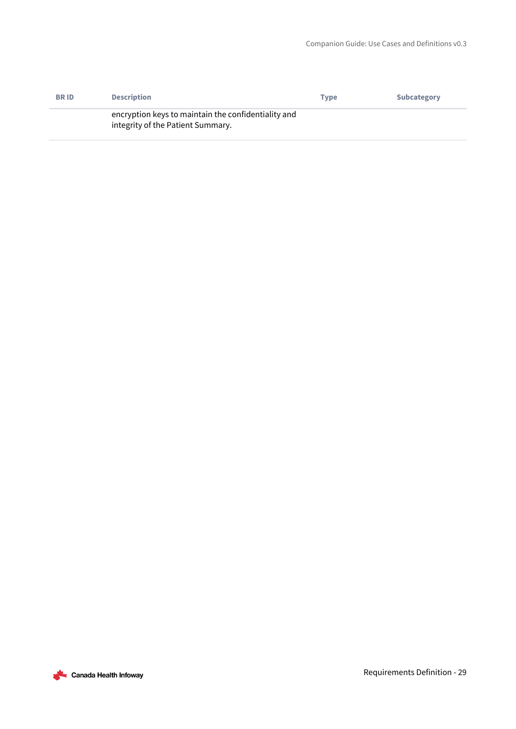| <b>BRID</b> | <b>Description</b>                                                                       | Type | <b>Subcategory</b> |
|-------------|------------------------------------------------------------------------------------------|------|--------------------|
|             | encryption keys to maintain the confidentiality and<br>integrity of the Patient Summary. |      |                    |

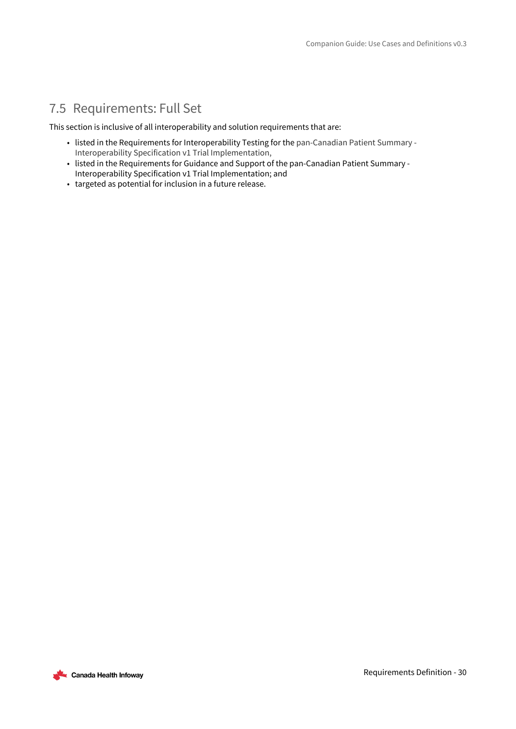### <span id="page-29-0"></span>7.5 Requirements: Full Set

This section is inclusive of all interoperability and solution requirements that are:

- listed in the Requirements for Interoperability Testing for the pan-Canadian Patient Summary Interoperability Specification v1 Trial Implementation,
- listed in the Requirements for Guidance and Support of the pan-Canadian Patient Summary Interoperability Specification v1 Trial Implementation; and
- targeted as potential for inclusion in a future release.

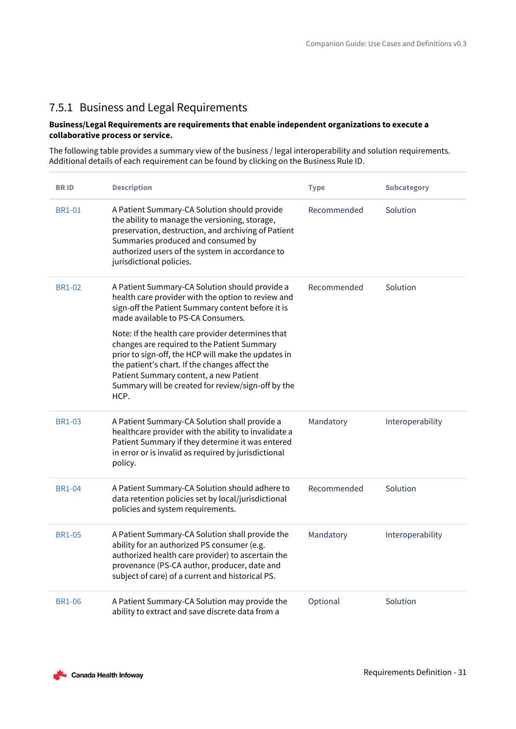### <span id="page-30-0"></span>7.5.1 Business and Legal Requirements

### **Business/Legal Requirements are requirements that enable independent organizations to execute a collaborative process or service.**

The following table provides a summary view of the business / legal interoperability and solution requirements. Additional details of each requirement can be found by clicking on the Business Rule ID.

| <b>BRID</b>   | <b>Description</b>                                                                                                                                                                                                                                                                                                | <b>Type</b> | <b>Subcategory</b> |
|---------------|-------------------------------------------------------------------------------------------------------------------------------------------------------------------------------------------------------------------------------------------------------------------------------------------------------------------|-------------|--------------------|
| <b>BR1-01</b> | A Patient Summary-CA Solution should provide<br>the ability to manage the versioning, storage,<br>preservation, destruction, and archiving of Patient<br>Summaries produced and consumed by<br>authorized users of the system in accordance to<br>jurisdictional policies.                                        | Recommended | Solution           |
| <b>BR1-02</b> | A Patient Summary-CA Solution should provide a<br>health care provider with the option to review and<br>sign-off the Patient Summary content before it is<br>made available to PS-CA Consumers.                                                                                                                   | Recommended | Solution           |
|               | Note: If the health care provider determines that<br>changes are required to the Patient Summary<br>prior to sign-off, the HCP will make the updates in<br>the patient's chart. If the changes affect the<br>Patient Summary content, a new Patient<br>Summary will be created for review/sign-off by the<br>HCP. |             |                    |
| <b>BR1-03</b> | A Patient Summary-CA Solution shall provide a<br>healthcare provider with the ability to invalidate a<br>Patient Summary if they determine it was entered<br>in error or is invalid as required by jurisdictional<br>policy.                                                                                      | Mandatory   | Interoperability   |
| <b>BR1-04</b> | A Patient Summary-CA Solution should adhere to<br>data retention policies set by local/jurisdictional<br>policies and system requirements.                                                                                                                                                                        | Recommended | Solution           |
| <b>BR1-05</b> | A Patient Summary-CA Solution shall provide the<br>ability for an authorized PS consumer (e.g.<br>authorized health care provider) to ascertain the<br>provenance (PS-CA author, producer, date and<br>subject of care) of a current and historical PS.                                                           | Mandatory   | Interoperability   |
| <b>BR1-06</b> | A Patient Summary-CA Solution may provide the<br>ability to extract and save discrete data from a                                                                                                                                                                                                                 | Optional    | Solution           |

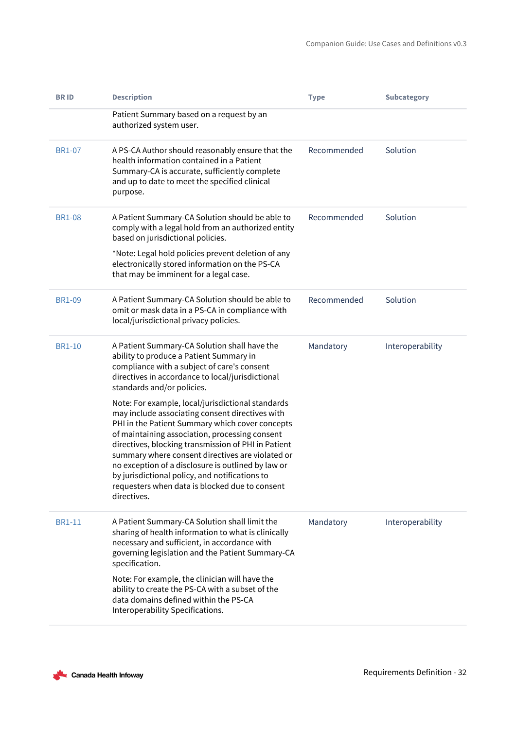| <b>BRID</b>   | <b>Description</b>                                                                                                                                                                                                                                                                                                                                                                                                                                                                            | <b>Type</b> | <b>Subcategory</b> |
|---------------|-----------------------------------------------------------------------------------------------------------------------------------------------------------------------------------------------------------------------------------------------------------------------------------------------------------------------------------------------------------------------------------------------------------------------------------------------------------------------------------------------|-------------|--------------------|
|               | Patient Summary based on a request by an<br>authorized system user.                                                                                                                                                                                                                                                                                                                                                                                                                           |             |                    |
| <b>BR1-07</b> | A PS-CA Author should reasonably ensure that the<br>health information contained in a Patient<br>Summary-CA is accurate, sufficiently complete<br>and up to date to meet the specified clinical<br>purpose.                                                                                                                                                                                                                                                                                   | Recommended | Solution           |
| <b>BR1-08</b> | A Patient Summary-CA Solution should be able to<br>comply with a legal hold from an authorized entity<br>based on jurisdictional policies.                                                                                                                                                                                                                                                                                                                                                    | Recommended | Solution           |
|               | *Note: Legal hold policies prevent deletion of any<br>electronically stored information on the PS-CA<br>that may be imminent for a legal case.                                                                                                                                                                                                                                                                                                                                                |             |                    |
| <b>BR1-09</b> | A Patient Summary-CA Solution should be able to<br>omit or mask data in a PS-CA in compliance with<br>local/jurisdictional privacy policies.                                                                                                                                                                                                                                                                                                                                                  | Recommended | Solution           |
| <b>BR1-10</b> | A Patient Summary-CA Solution shall have the<br>ability to produce a Patient Summary in<br>compliance with a subject of care's consent<br>directives in accordance to local/jurisdictional<br>standards and/or policies.                                                                                                                                                                                                                                                                      | Mandatory   | Interoperability   |
|               | Note: For example, local/jurisdictional standards<br>may include associating consent directives with<br>PHI in the Patient Summary which cover concepts<br>of maintaining association, processing consent<br>directives, blocking transmission of PHI in Patient<br>summary where consent directives are violated or<br>no exception of a disclosure is outlined by law or<br>by jurisdictional policy, and notifications to<br>requesters when data is blocked due to consent<br>directives. |             |                    |
| <b>BR1-11</b> | A Patient Summary-CA Solution shall limit the<br>sharing of health information to what is clinically<br>necessary and sufficient, in accordance with<br>governing legislation and the Patient Summary-CA<br>specification.                                                                                                                                                                                                                                                                    | Mandatory   | Interoperability   |
|               | Note: For example, the clinician will have the<br>ability to create the PS-CA with a subset of the<br>data domains defined within the PS-CA<br>Interoperability Specifications.                                                                                                                                                                                                                                                                                                               |             |                    |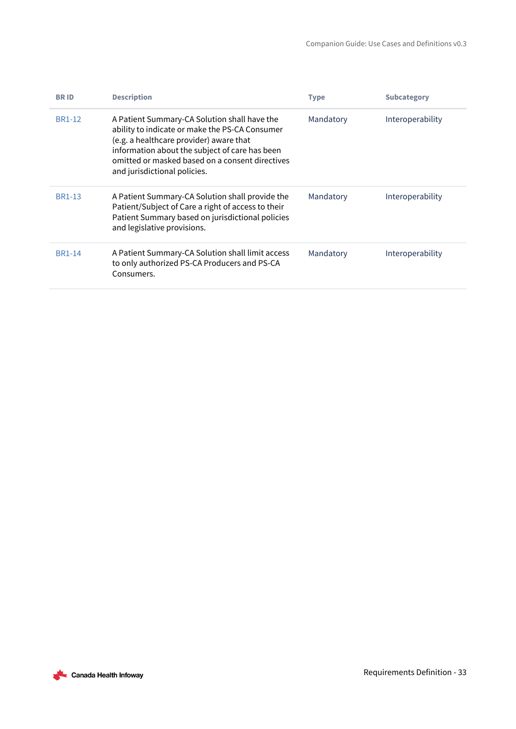| <b>BRID</b>   | <b>Description</b>                                                                                                                                                                                                                                                             | <b>Type</b> | <b>Subcategory</b> |
|---------------|--------------------------------------------------------------------------------------------------------------------------------------------------------------------------------------------------------------------------------------------------------------------------------|-------------|--------------------|
| <b>BR1-12</b> | A Patient Summary-CA Solution shall have the<br>ability to indicate or make the PS-CA Consumer<br>(e.g. a healthcare provider) aware that<br>information about the subject of care has been<br>omitted or masked based on a consent directives<br>and jurisdictional policies. | Mandatory   | Interoperability   |
| <b>BR1-13</b> | A Patient Summary-CA Solution shall provide the<br>Patient/Subject of Care a right of access to their<br>Patient Summary based on jurisdictional policies<br>and legislative provisions.                                                                                       | Mandatory   | Interoperability   |
| <b>BR1-14</b> | A Patient Summary-CA Solution shall limit access<br>to only authorized PS-CA Producers and PS-CA<br>Consumers.                                                                                                                                                                 | Mandatory   | Interoperability   |

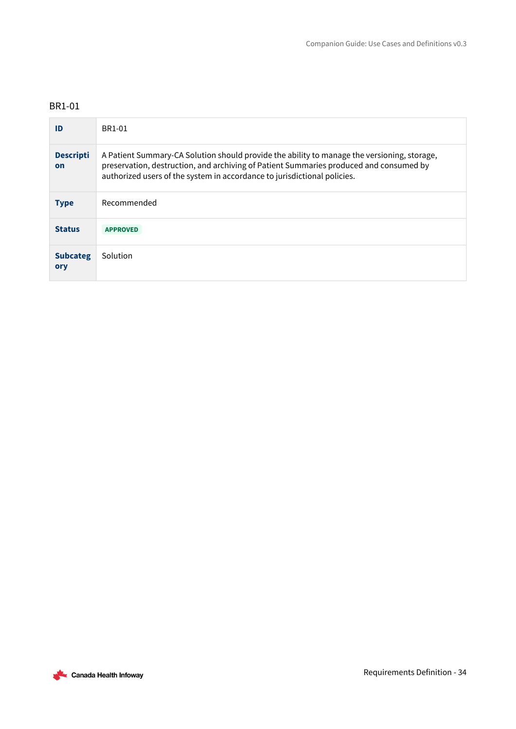<span id="page-33-0"></span>

| ID                     | BR1-01                                                                                                                                                                                                                                                            |
|------------------------|-------------------------------------------------------------------------------------------------------------------------------------------------------------------------------------------------------------------------------------------------------------------|
| <b>Descripti</b><br>on | A Patient Summary-CA Solution should provide the ability to manage the versioning, storage,<br>preservation, destruction, and archiving of Patient Summaries produced and consumed by<br>authorized users of the system in accordance to jurisdictional policies. |
| <b>Type</b>            | Recommended                                                                                                                                                                                                                                                       |
| <b>Status</b>          | <b>APPROVED</b>                                                                                                                                                                                                                                                   |
| <b>Subcateg</b><br>ory | Solution                                                                                                                                                                                                                                                          |

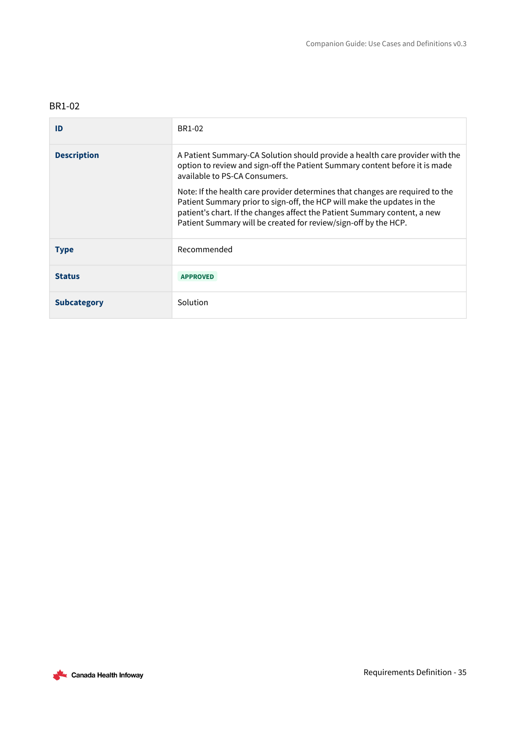<span id="page-34-0"></span>

| ID                 | BR1-02                                                                                                                                                                                                                                                                                                   |
|--------------------|----------------------------------------------------------------------------------------------------------------------------------------------------------------------------------------------------------------------------------------------------------------------------------------------------------|
| <b>Description</b> | A Patient Summary-CA Solution should provide a health care provider with the<br>option to review and sign-off the Patient Summary content before it is made<br>available to PS-CA Consumers.                                                                                                             |
|                    | Note: If the health care provider determines that changes are required to the<br>Patient Summary prior to sign-off, the HCP will make the updates in the<br>patient's chart. If the changes affect the Patient Summary content, a new<br>Patient Summary will be created for review/sign-off by the HCP. |
| <b>Type</b>        | Recommended                                                                                                                                                                                                                                                                                              |
| <b>Status</b>      | <b>APPROVED</b>                                                                                                                                                                                                                                                                                          |
| <b>Subcategory</b> | Solution                                                                                                                                                                                                                                                                                                 |

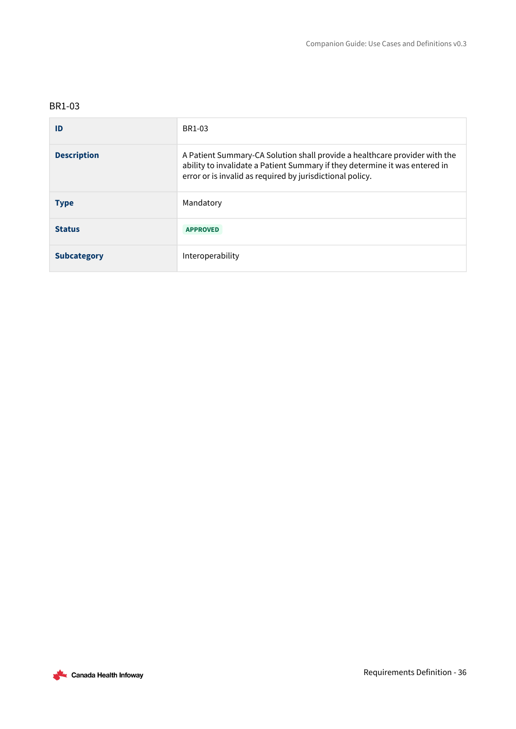<span id="page-35-0"></span>

| ID                 | BR1-03                                                                                                                                                                                                                 |
|--------------------|------------------------------------------------------------------------------------------------------------------------------------------------------------------------------------------------------------------------|
| <b>Description</b> | A Patient Summary-CA Solution shall provide a healthcare provider with the<br>ability to invalidate a Patient Summary if they determine it was entered in<br>error or is invalid as required by jurisdictional policy. |
| <b>Type</b>        | Mandatory                                                                                                                                                                                                              |
| <b>Status</b>      | <b>APPROVED</b>                                                                                                                                                                                                        |
| <b>Subcategory</b> | Interoperability                                                                                                                                                                                                       |

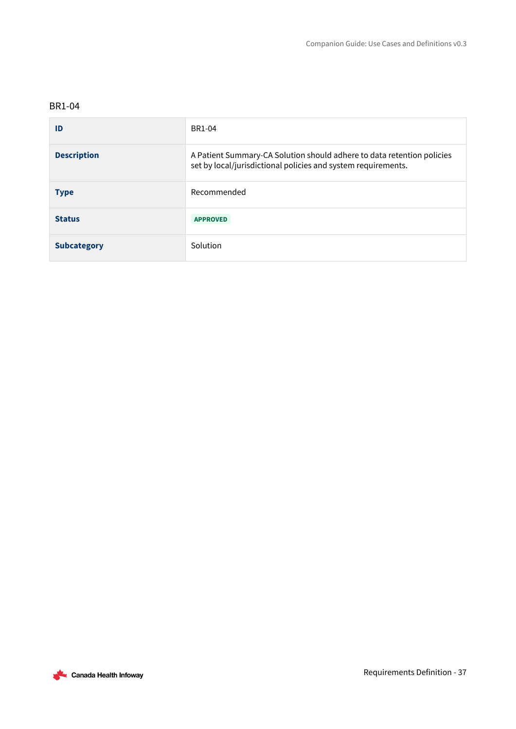<span id="page-36-0"></span>

| ID                 | <b>BR1-04</b>                                                                                                                           |
|--------------------|-----------------------------------------------------------------------------------------------------------------------------------------|
| <b>Description</b> | A Patient Summary-CA Solution should adhere to data retention policies<br>set by local/jurisdictional policies and system requirements. |
| <b>Type</b>        | Recommended                                                                                                                             |
| <b>Status</b>      | <b>APPROVED</b>                                                                                                                         |
| <b>Subcategory</b> | Solution                                                                                                                                |

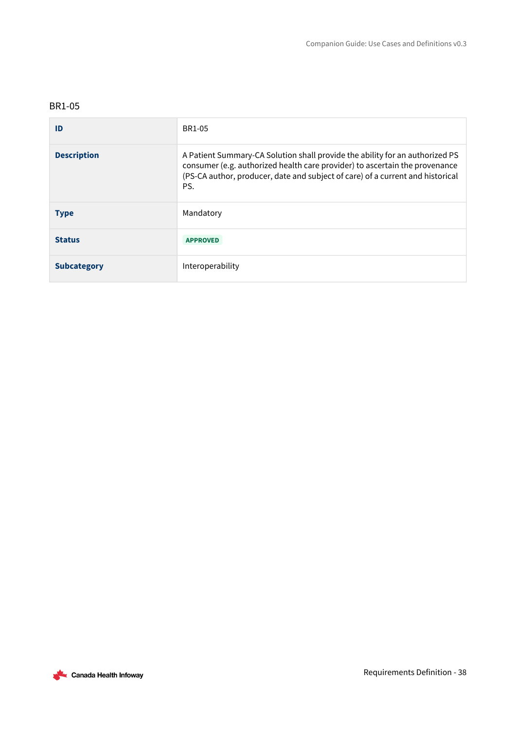<span id="page-37-0"></span>

| ID                 | BR1-05                                                                                                                                                                                                                                               |
|--------------------|------------------------------------------------------------------------------------------------------------------------------------------------------------------------------------------------------------------------------------------------------|
| <b>Description</b> | A Patient Summary-CA Solution shall provide the ability for an authorized PS<br>consumer (e.g. authorized health care provider) to ascertain the provenance<br>(PS-CA author, producer, date and subject of care) of a current and historical<br>PS. |
| <b>Type</b>        | Mandatory                                                                                                                                                                                                                                            |
| <b>Status</b>      | <b>APPROVED</b>                                                                                                                                                                                                                                      |
| <b>Subcategory</b> | Interoperability                                                                                                                                                                                                                                     |

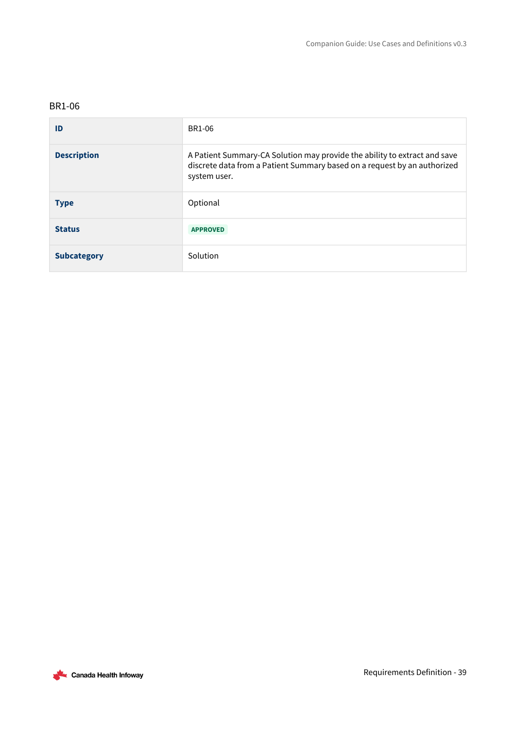<span id="page-38-0"></span>

| ID                 | BR1-06                                                                                                                                                                |
|--------------------|-----------------------------------------------------------------------------------------------------------------------------------------------------------------------|
| <b>Description</b> | A Patient Summary-CA Solution may provide the ability to extract and save<br>discrete data from a Patient Summary based on a request by an authorized<br>system user. |
| <b>Type</b>        | Optional                                                                                                                                                              |
| <b>Status</b>      | <b>APPROVED</b>                                                                                                                                                       |
| <b>Subcategory</b> | Solution                                                                                                                                                              |

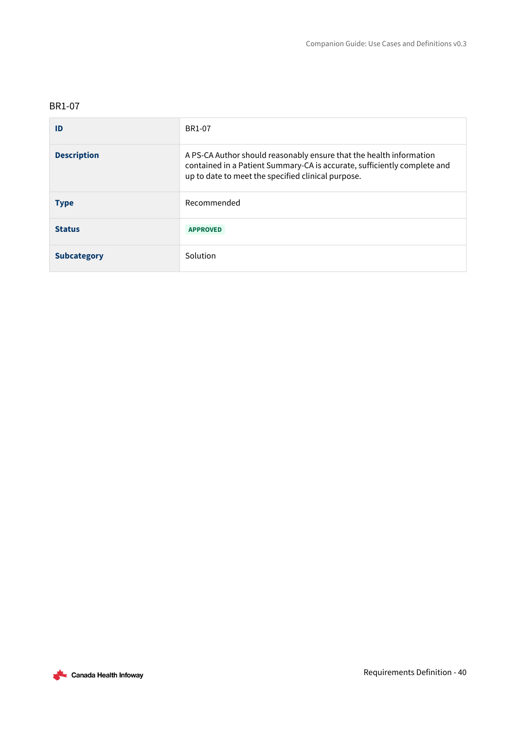<span id="page-39-0"></span>

| ID                 | BR1-07                                                                                                                                                                                                |
|--------------------|-------------------------------------------------------------------------------------------------------------------------------------------------------------------------------------------------------|
| <b>Description</b> | A PS-CA Author should reasonably ensure that the health information<br>contained in a Patient Summary-CA is accurate, sufficiently complete and<br>up to date to meet the specified clinical purpose. |
| <b>Type</b>        | Recommended                                                                                                                                                                                           |
| <b>Status</b>      | <b>APPROVED</b>                                                                                                                                                                                       |
| <b>Subcategory</b> | Solution                                                                                                                                                                                              |

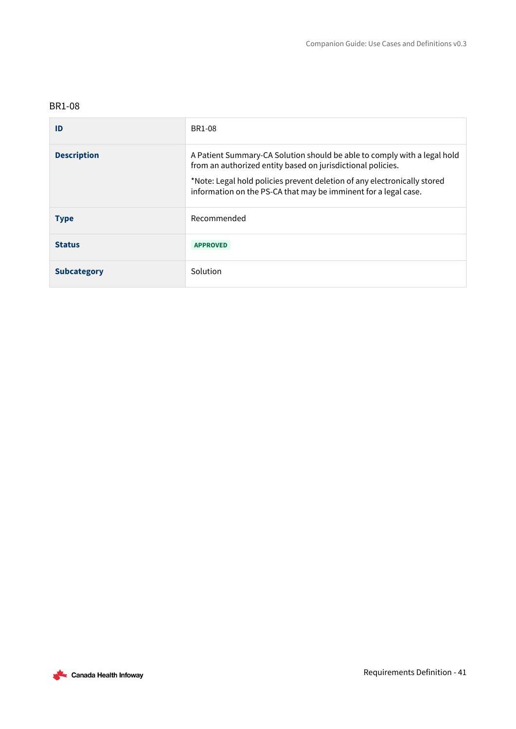<span id="page-40-0"></span>

| ID                 | <b>BR1-08</b>                                                                                                                                                                                                                                                                          |
|--------------------|----------------------------------------------------------------------------------------------------------------------------------------------------------------------------------------------------------------------------------------------------------------------------------------|
| <b>Description</b> | A Patient Summary-CA Solution should be able to comply with a legal hold<br>from an authorized entity based on jurisdictional policies.<br>*Note: Legal hold policies prevent deletion of any electronically stored<br>information on the PS-CA that may be imminent for a legal case. |
| <b>Type</b>        | Recommended                                                                                                                                                                                                                                                                            |
| <b>Status</b>      | <b>APPROVED</b>                                                                                                                                                                                                                                                                        |
| <b>Subcategory</b> | Solution                                                                                                                                                                                                                                                                               |

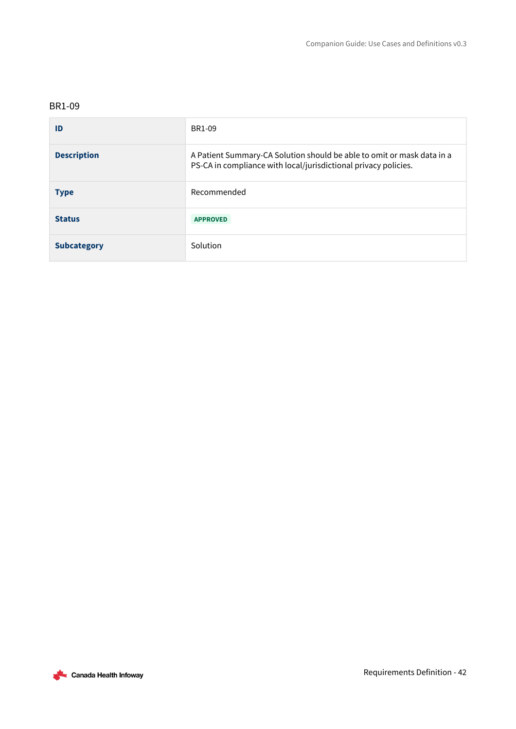<span id="page-41-0"></span>

| ID                 | BR1-09                                                                                                                                    |
|--------------------|-------------------------------------------------------------------------------------------------------------------------------------------|
| <b>Description</b> | A Patient Summary-CA Solution should be able to omit or mask data in a<br>PS-CA in compliance with local/jurisdictional privacy policies. |
| <b>Type</b>        | Recommended                                                                                                                               |
| <b>Status</b>      | <b>APPROVED</b>                                                                                                                           |
| <b>Subcategory</b> | Solution                                                                                                                                  |

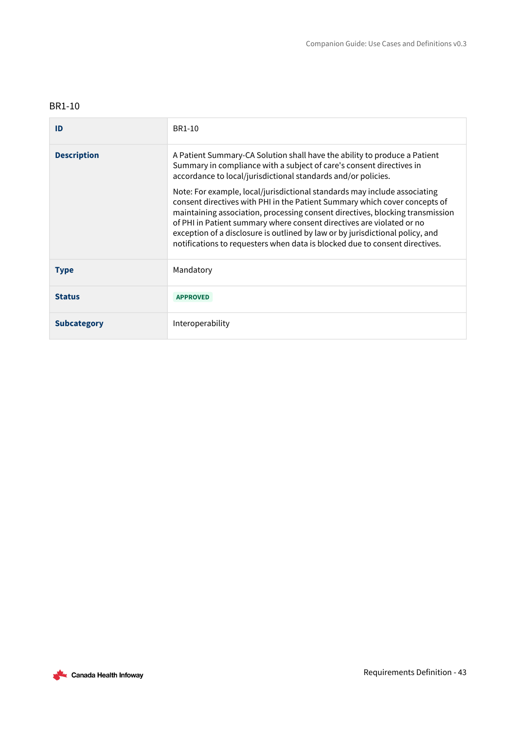<span id="page-42-0"></span>

| ID                 | BR1-10                                                                                                                                                                                                                                                                                                                                                                                                                                                                            |
|--------------------|-----------------------------------------------------------------------------------------------------------------------------------------------------------------------------------------------------------------------------------------------------------------------------------------------------------------------------------------------------------------------------------------------------------------------------------------------------------------------------------|
| <b>Description</b> | A Patient Summary-CA Solution shall have the ability to produce a Patient<br>Summary in compliance with a subject of care's consent directives in<br>accordance to local/jurisdictional standards and/or policies.                                                                                                                                                                                                                                                                |
|                    | Note: For example, local/jurisdictional standards may include associating<br>consent directives with PHI in the Patient Summary which cover concepts of<br>maintaining association, processing consent directives, blocking transmission<br>of PHI in Patient summary where consent directives are violated or no<br>exception of a disclosure is outlined by law or by jurisdictional policy, and<br>notifications to requesters when data is blocked due to consent directives. |
| <b>Type</b>        | Mandatory                                                                                                                                                                                                                                                                                                                                                                                                                                                                         |
| <b>Status</b>      | <b>APPROVED</b>                                                                                                                                                                                                                                                                                                                                                                                                                                                                   |
| <b>Subcategory</b> | Interoperability                                                                                                                                                                                                                                                                                                                                                                                                                                                                  |

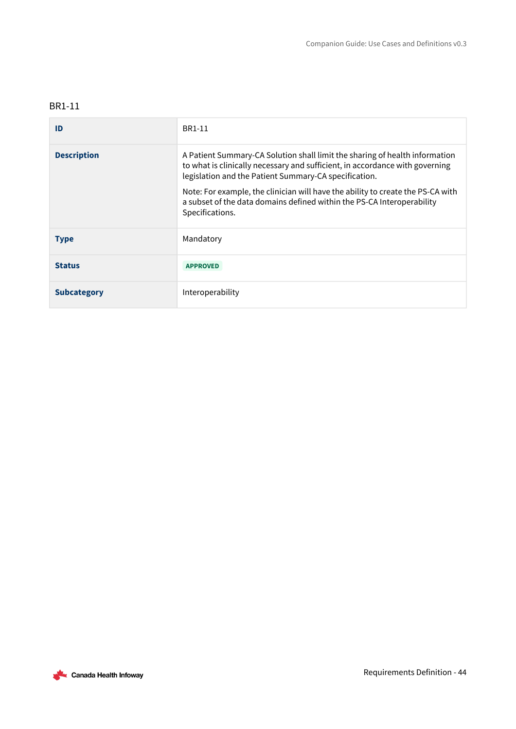<span id="page-43-0"></span>

| ID                 | BR1-11                                                                                                                                                                                                                                                                                                                                                                            |  |
|--------------------|-----------------------------------------------------------------------------------------------------------------------------------------------------------------------------------------------------------------------------------------------------------------------------------------------------------------------------------------------------------------------------------|--|
| <b>Description</b> | A Patient Summary-CA Solution shall limit the sharing of health information<br>to what is clinically necessary and sufficient, in accordance with governing<br>legislation and the Patient Summary-CA specification.<br>Note: For example, the clinician will have the ability to create the PS-CA with<br>a subset of the data domains defined within the PS-CA Interoperability |  |
|                    | Specifications.                                                                                                                                                                                                                                                                                                                                                                   |  |
| <b>Type</b>        | Mandatory                                                                                                                                                                                                                                                                                                                                                                         |  |
| <b>Status</b>      | <b>APPROVED</b>                                                                                                                                                                                                                                                                                                                                                                   |  |
| <b>Subcategory</b> | Interoperability                                                                                                                                                                                                                                                                                                                                                                  |  |

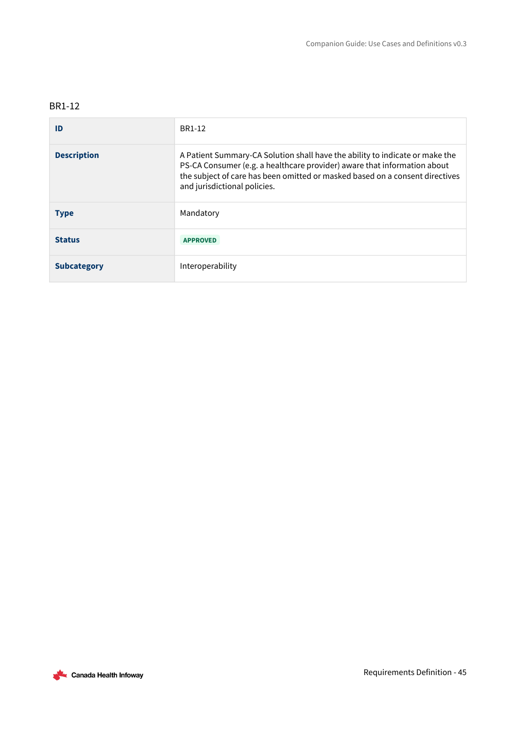<span id="page-44-0"></span>

| ID                 | BR1-12                                                                                                                                                                                                                                                                   |
|--------------------|--------------------------------------------------------------------------------------------------------------------------------------------------------------------------------------------------------------------------------------------------------------------------|
| <b>Description</b> | A Patient Summary-CA Solution shall have the ability to indicate or make the<br>PS-CA Consumer (e.g. a healthcare provider) aware that information about<br>the subject of care has been omitted or masked based on a consent directives<br>and jurisdictional policies. |
| <b>Type</b>        | Mandatory                                                                                                                                                                                                                                                                |
| <b>Status</b>      | <b>APPROVED</b>                                                                                                                                                                                                                                                          |
| <b>Subcategory</b> | Interoperability                                                                                                                                                                                                                                                         |

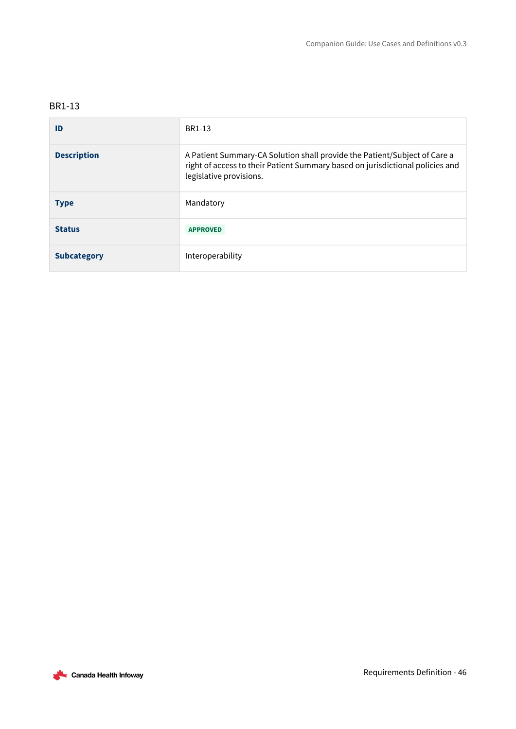<span id="page-45-0"></span>

| ID                 | BR1-13                                                                                                                                                                                |
|--------------------|---------------------------------------------------------------------------------------------------------------------------------------------------------------------------------------|
| <b>Description</b> | A Patient Summary-CA Solution shall provide the Patient/Subject of Care a<br>right of access to their Patient Summary based on jurisdictional policies and<br>legislative provisions. |
| <b>Type</b>        | Mandatory                                                                                                                                                                             |
| <b>Status</b>      | <b>APPROVED</b>                                                                                                                                                                       |
| <b>Subcategory</b> | Interoperability                                                                                                                                                                      |

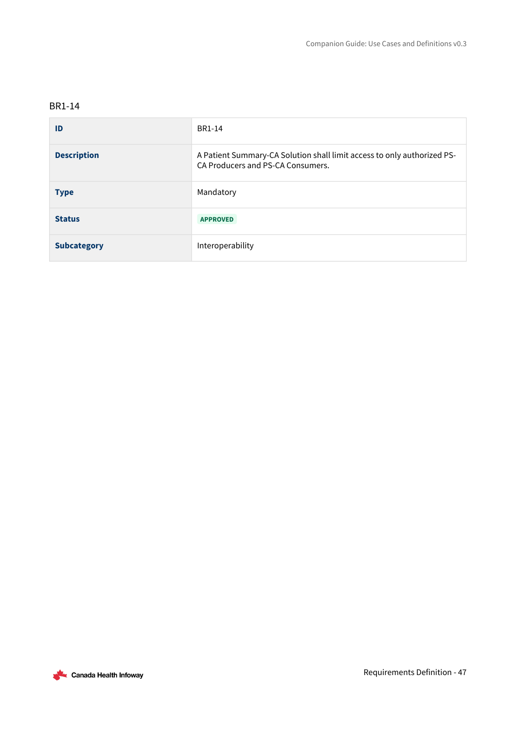<span id="page-46-0"></span>

| ID                 | BR1-14                                                                                                       |
|--------------------|--------------------------------------------------------------------------------------------------------------|
| <b>Description</b> | A Patient Summary-CA Solution shall limit access to only authorized PS-<br>CA Producers and PS-CA Consumers. |
| <b>Type</b>        | Mandatory                                                                                                    |
| <b>Status</b>      | <b>APPROVED</b>                                                                                              |
| <b>Subcategory</b> | Interoperability                                                                                             |

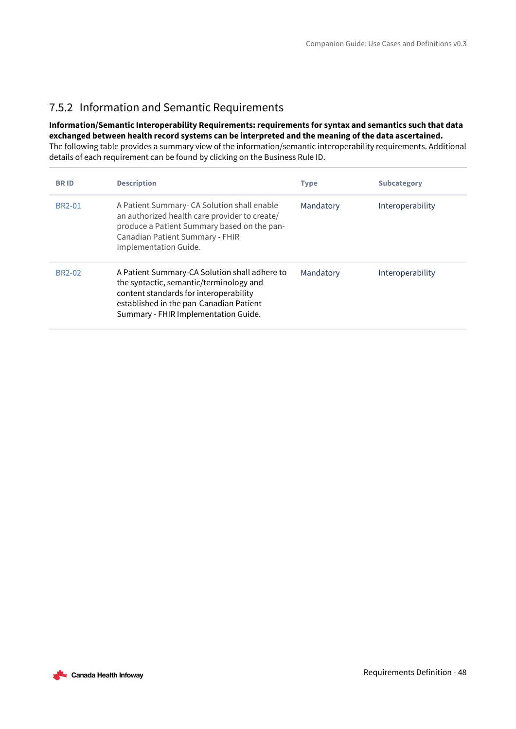### <span id="page-47-0"></span>7.5.2 Information and Semantic Requirements

### **Information/Semantic Interoperability Requirements: requirements for syntax and semantics such that data exchanged between health record systems can be interpreted and the meaning of the data ascertained.**

The following table provides a summary view of the information/semantic interoperability requirements. Additional details of each requirement can be found by clicking on the Business Rule ID.

| <b>BRID</b>         | <b>Description</b>                                                                                                                                                                                                    | <b>Type</b> | <b>Subcategory</b> |
|---------------------|-----------------------------------------------------------------------------------------------------------------------------------------------------------------------------------------------------------------------|-------------|--------------------|
| BR <sub>2</sub> -01 | A Patient Summary- CA Solution shall enable<br>an authorized health care provider to create/<br>produce a Patient Summary based on the pan-<br>Canadian Patient Summary - FHIR<br>Implementation Guide.               | Mandatory   | Interoperability   |
| BR <sub>2</sub> -02 | A Patient Summary-CA Solution shall adhere to<br>the syntactic, semantic/terminology and<br>content standards for interoperability<br>established in the pan-Canadian Patient<br>Summary - FHIR Implementation Guide. | Mandatory   | Interoperability   |

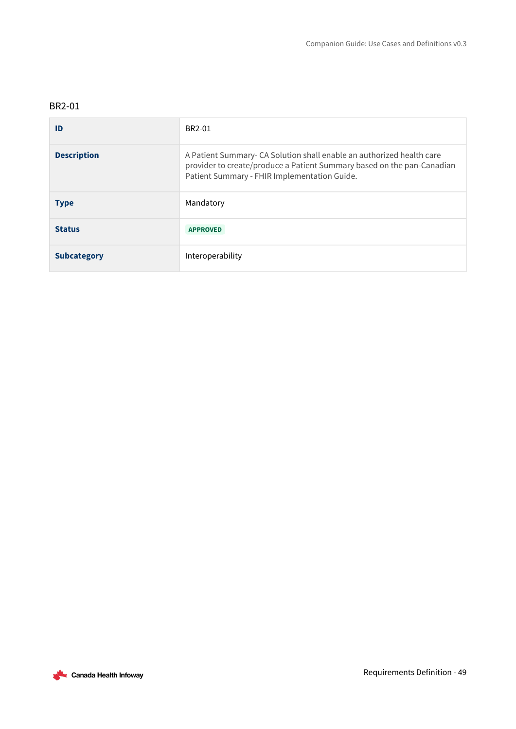### <span id="page-48-0"></span>BR2-01

| ID                 | BR2-01                                                                                                                                                                                         |
|--------------------|------------------------------------------------------------------------------------------------------------------------------------------------------------------------------------------------|
| <b>Description</b> | A Patient Summary-CA Solution shall enable an authorized health care<br>provider to create/produce a Patient Summary based on the pan-Canadian<br>Patient Summary - FHIR Implementation Guide. |
| <b>Type</b>        | Mandatory                                                                                                                                                                                      |
| <b>Status</b>      | <b>APPROVED</b>                                                                                                                                                                                |
| <b>Subcategory</b> | Interoperability                                                                                                                                                                               |

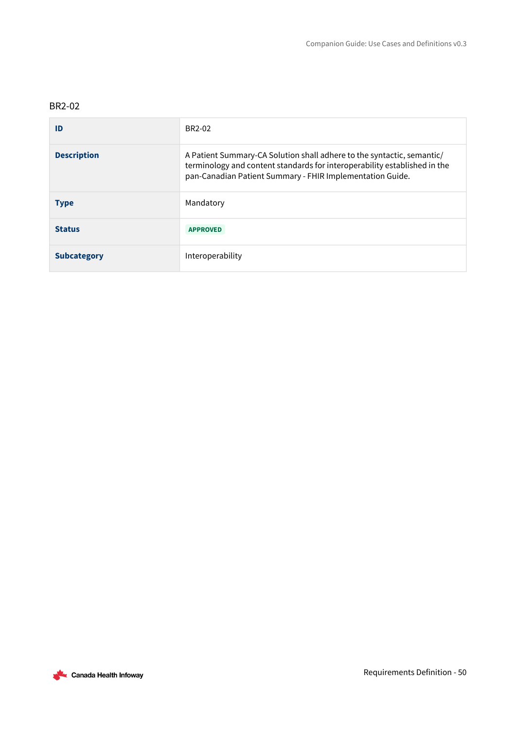### <span id="page-49-0"></span>BR2-02

| ID                 | BR2-02                                                                                                                                                                                                           |
|--------------------|------------------------------------------------------------------------------------------------------------------------------------------------------------------------------------------------------------------|
| <b>Description</b> | A Patient Summary-CA Solution shall adhere to the syntactic, semantic/<br>terminology and content standards for interoperability established in the<br>pan-Canadian Patient Summary - FHIR Implementation Guide. |
| <b>Type</b>        | Mandatory                                                                                                                                                                                                        |
| <b>Status</b>      | <b>APPROVED</b>                                                                                                                                                                                                  |
| <b>Subcategory</b> | Interoperability                                                                                                                                                                                                 |

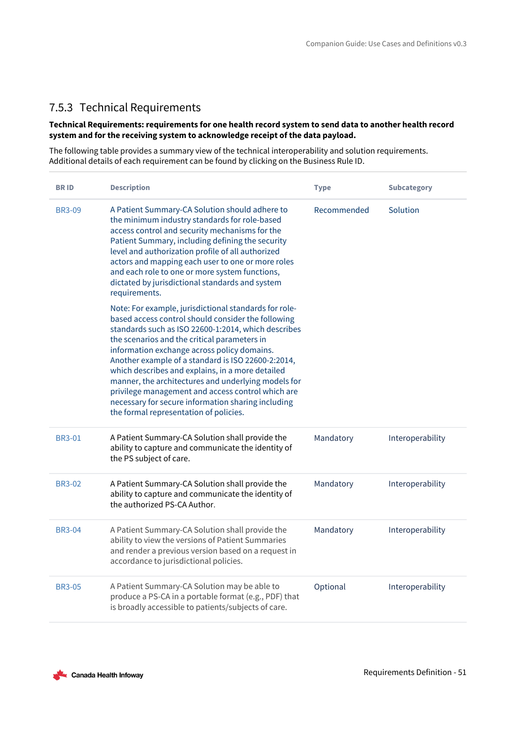### <span id="page-50-0"></span>7.5.3 Technical Requirements

### **Technical Requirements: requirements for one health record system to send data to another health record system and for the receiving system to acknowledge receipt of the data payload.**

The following table provides a summary view of the technical interoperability and solution requirements. Additional details of each requirement can be found by clicking on the Business Rule ID.

| <b>BRID</b>   | <b>Description</b>                                                                                                                                                                                                                                                                                                                                                                                                                                                                                                                                                                      | <b>Type</b> | <b>Subcategory</b> |
|---------------|-----------------------------------------------------------------------------------------------------------------------------------------------------------------------------------------------------------------------------------------------------------------------------------------------------------------------------------------------------------------------------------------------------------------------------------------------------------------------------------------------------------------------------------------------------------------------------------------|-------------|--------------------|
| <b>BR3-09</b> | A Patient Summary-CA Solution should adhere to<br>the minimum industry standards for role-based<br>access control and security mechanisms for the<br>Patient Summary, including defining the security<br>level and authorization profile of all authorized<br>actors and mapping each user to one or more roles<br>and each role to one or more system functions,<br>dictated by jurisdictional standards and system<br>requirements.                                                                                                                                                   | Recommended | Solution           |
|               | Note: For example, jurisdictional standards for role-<br>based access control should consider the following<br>standards such as ISO 22600-1:2014, which describes<br>the scenarios and the critical parameters in<br>information exchange across policy domains.<br>Another example of a standard is ISO 22600-2:2014,<br>which describes and explains, in a more detailed<br>manner, the architectures and underlying models for<br>privilege management and access control which are<br>necessary for secure information sharing including<br>the formal representation of policies. |             |                    |
| <b>BR3-01</b> | A Patient Summary-CA Solution shall provide the<br>ability to capture and communicate the identity of<br>the PS subject of care.                                                                                                                                                                                                                                                                                                                                                                                                                                                        | Mandatory   | Interoperability   |
| <b>BR3-02</b> | A Patient Summary-CA Solution shall provide the<br>ability to capture and communicate the identity of<br>the authorized PS-CA Author.                                                                                                                                                                                                                                                                                                                                                                                                                                                   | Mandatory   | Interoperability   |
| <b>BR3-04</b> | A Patient Summary-CA Solution shall provide the<br>ability to view the versions of Patient Summaries<br>and render a previous version based on a request in<br>accordance to jurisdictional policies.                                                                                                                                                                                                                                                                                                                                                                                   | Mandatory   | Interoperability   |
| <b>BR3-05</b> | A Patient Summary-CA Solution may be able to<br>produce a PS-CA in a portable format (e.g., PDF) that<br>is broadly accessible to patients/subjects of care.                                                                                                                                                                                                                                                                                                                                                                                                                            | Optional    | Interoperability   |

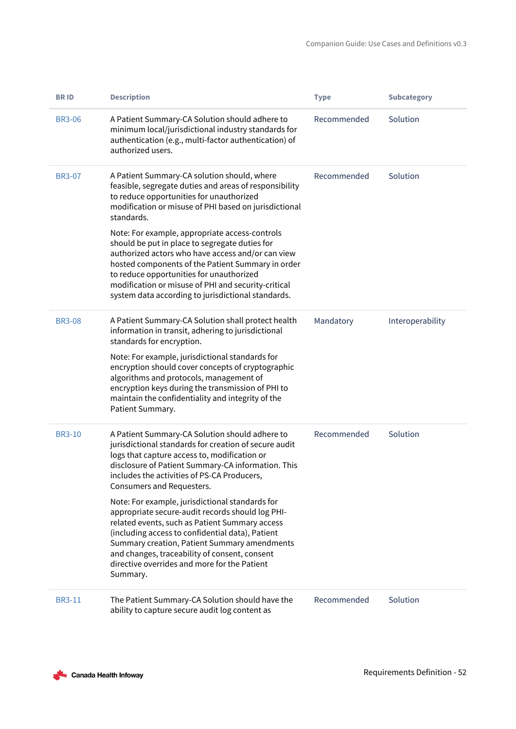| <b>BRID</b>   | <b>Description</b>                                                                                                                                                                                                                                                                                                                                                                                                     | <b>Type</b> | <b>Subcategory</b> |
|---------------|------------------------------------------------------------------------------------------------------------------------------------------------------------------------------------------------------------------------------------------------------------------------------------------------------------------------------------------------------------------------------------------------------------------------|-------------|--------------------|
| <b>BR3-06</b> | A Patient Summary-CA Solution should adhere to<br>minimum local/jurisdictional industry standards for<br>authentication (e.g., multi-factor authentication) of<br>authorized users.                                                                                                                                                                                                                                    | Recommended | Solution           |
| <b>BR3-07</b> | A Patient Summary-CA solution should, where<br>feasible, segregate duties and areas of responsibility<br>to reduce opportunities for unauthorized<br>modification or misuse of PHI based on jurisdictional<br>standards.                                                                                                                                                                                               | Recommended | Solution           |
|               | Note: For example, appropriate access-controls<br>should be put in place to segregate duties for<br>authorized actors who have access and/or can view<br>hosted components of the Patient Summary in order<br>to reduce opportunities for unauthorized<br>modification or misuse of PHI and security-critical<br>system data according to jurisdictional standards.                                                    |             |                    |
| <b>BR3-08</b> | A Patient Summary-CA Solution shall protect health<br>information in transit, adhering to jurisdictional<br>standards for encryption.<br>Note: For example, jurisdictional standards for<br>encryption should cover concepts of cryptographic<br>algorithms and protocols, management of<br>encryption keys during the transmission of PHI to<br>maintain the confidentiality and integrity of the<br>Patient Summary. | Mandatory   | Interoperability   |
| <b>BR3-10</b> | A Patient Summary-CA Solution should adhere to<br>jurisdictional standards for creation of secure audit<br>logs that capture access to, modification or<br>disclosure of Patient Summary-CA information. This<br>includes the activities of PS-CA Producers,<br>Consumers and Requesters.                                                                                                                              | Recommended | Solution           |
|               | Note: For example, jurisdictional standards for<br>appropriate secure-audit records should log PHI-<br>related events, such as Patient Summary access<br>(including access to confidential data), Patient<br>Summary creation, Patient Summary amendments<br>and changes, traceability of consent, consent<br>directive overrides and more for the Patient<br>Summary.                                                 |             |                    |
| <b>BR3-11</b> | The Patient Summary-CA Solution should have the<br>ability to capture secure audit log content as                                                                                                                                                                                                                                                                                                                      | Recommended | Solution           |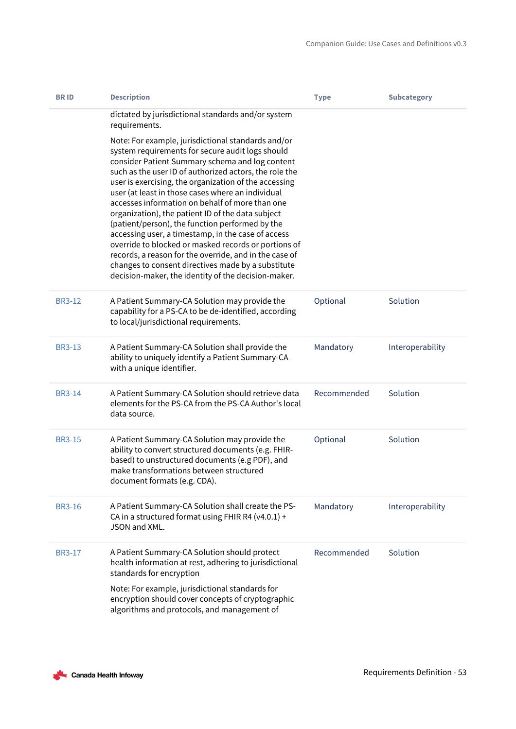| <b>BRID</b>   | <b>Description</b>                                                                                                                                                                                                                                                                                                                                                                                                                                                                                                                                                                                                                                                                                                                                                                | <b>Type</b> | <b>Subcategory</b> |
|---------------|-----------------------------------------------------------------------------------------------------------------------------------------------------------------------------------------------------------------------------------------------------------------------------------------------------------------------------------------------------------------------------------------------------------------------------------------------------------------------------------------------------------------------------------------------------------------------------------------------------------------------------------------------------------------------------------------------------------------------------------------------------------------------------------|-------------|--------------------|
|               | dictated by jurisdictional standards and/or system<br>requirements.                                                                                                                                                                                                                                                                                                                                                                                                                                                                                                                                                                                                                                                                                                               |             |                    |
|               | Note: For example, jurisdictional standards and/or<br>system requirements for secure audit logs should<br>consider Patient Summary schema and log content<br>such as the user ID of authorized actors, the role the<br>user is exercising, the organization of the accessing<br>user (at least in those cases where an individual<br>accesses information on behalf of more than one<br>organization), the patient ID of the data subject<br>(patient/person), the function performed by the<br>accessing user, a timestamp, in the case of access<br>override to blocked or masked records or portions of<br>records, a reason for the override, and in the case of<br>changes to consent directives made by a substitute<br>decision-maker, the identity of the decision-maker. |             |                    |
| <b>BR3-12</b> | A Patient Summary-CA Solution may provide the<br>capability for a PS-CA to be de-identified, according<br>to local/jurisdictional requirements.                                                                                                                                                                                                                                                                                                                                                                                                                                                                                                                                                                                                                                   | Optional    | Solution           |
| <b>BR3-13</b> | A Patient Summary-CA Solution shall provide the<br>ability to uniquely identify a Patient Summary-CA<br>with a unique identifier.                                                                                                                                                                                                                                                                                                                                                                                                                                                                                                                                                                                                                                                 | Mandatory   | Interoperability   |
| <b>BR3-14</b> | A Patient Summary-CA Solution should retrieve data<br>elements for the PS-CA from the PS-CA Author's local<br>data source.                                                                                                                                                                                                                                                                                                                                                                                                                                                                                                                                                                                                                                                        | Recommended | Solution           |
| <b>BR3-15</b> | A Patient Summary-CA Solution may provide the<br>ability to convert structured documents (e.g. FHIR-<br>based) to unstructured documents (e.g PDF), and<br>make transformations between structured<br>document formats (e.g. CDA).                                                                                                                                                                                                                                                                                                                                                                                                                                                                                                                                                | Optional    | Solution           |
| <b>BR3-16</b> | A Patient Summary-CA Solution shall create the PS-<br>CA in a structured format using FHIR R4 (v4.0.1) +<br>JSON and XML.                                                                                                                                                                                                                                                                                                                                                                                                                                                                                                                                                                                                                                                         | Mandatory   | Interoperability   |
| <b>BR3-17</b> | A Patient Summary-CA Solution should protect<br>health information at rest, adhering to jurisdictional<br>standards for encryption                                                                                                                                                                                                                                                                                                                                                                                                                                                                                                                                                                                                                                                | Recommended | Solution           |
|               | Note: For example, jurisdictional standards for<br>encryption should cover concepts of cryptographic<br>algorithms and protocols, and management of                                                                                                                                                                                                                                                                                                                                                                                                                                                                                                                                                                                                                               |             |                    |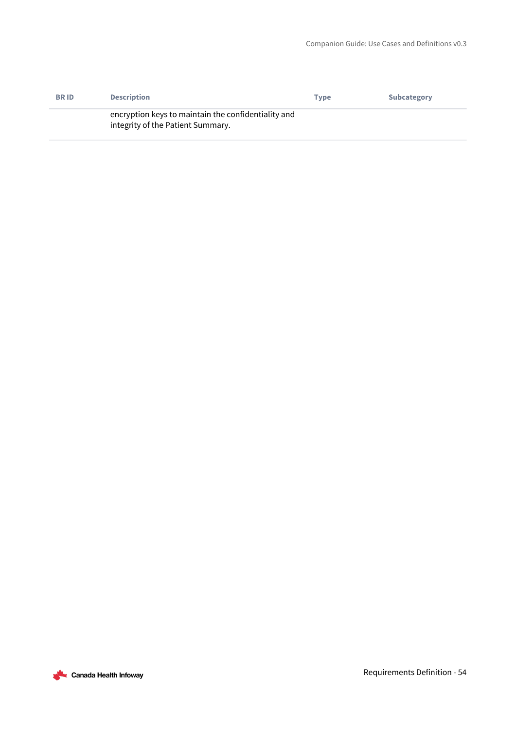| <b>BRID</b> | <b>Description</b>                                                                       | <b>Type</b> | <b>Subcategory</b> |
|-------------|------------------------------------------------------------------------------------------|-------------|--------------------|
|             | encryption keys to maintain the confidentiality and<br>integrity of the Patient Summary. |             |                    |

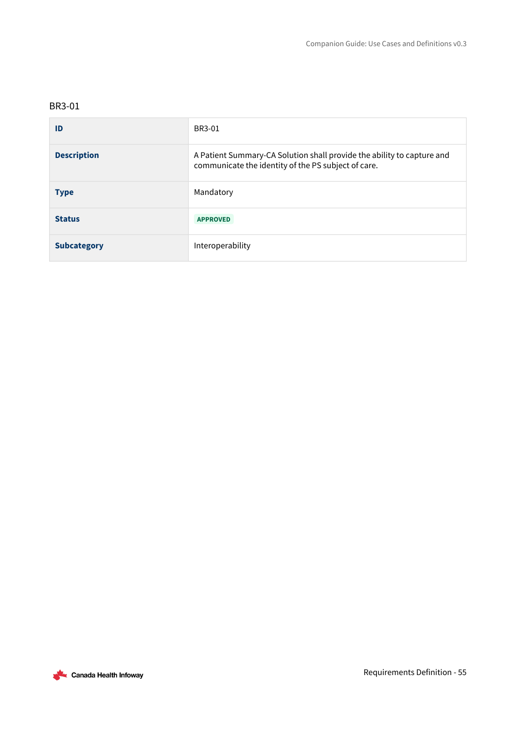<span id="page-54-0"></span>

| ID                 | BR3-01                                                                                                                        |
|--------------------|-------------------------------------------------------------------------------------------------------------------------------|
| <b>Description</b> | A Patient Summary-CA Solution shall provide the ability to capture and<br>communicate the identity of the PS subject of care. |
| <b>Type</b>        | Mandatory                                                                                                                     |
| <b>Status</b>      | <b>APPROVED</b>                                                                                                               |
| <b>Subcategory</b> | Interoperability                                                                                                              |

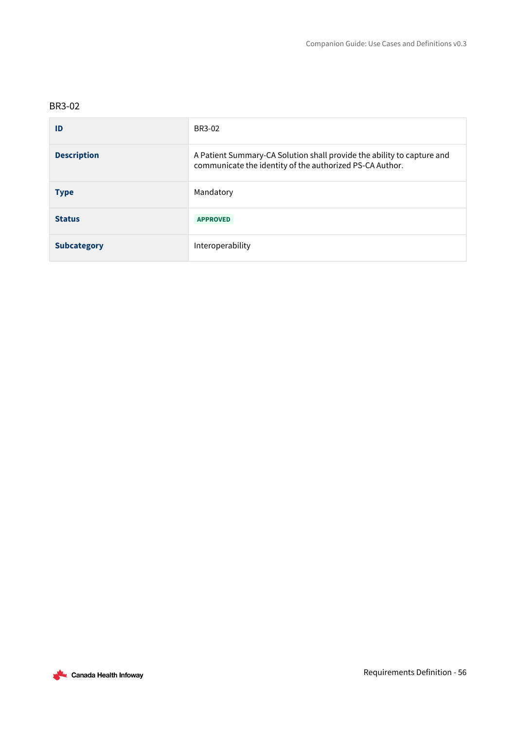<span id="page-55-0"></span>

| ID                 | BR3-02                                                                                                                             |
|--------------------|------------------------------------------------------------------------------------------------------------------------------------|
| <b>Description</b> | A Patient Summary-CA Solution shall provide the ability to capture and<br>communicate the identity of the authorized PS-CA Author. |
| <b>Type</b>        | Mandatory                                                                                                                          |
| <b>Status</b>      | <b>APPROVED</b>                                                                                                                    |
| <b>Subcategory</b> | Interoperability                                                                                                                   |

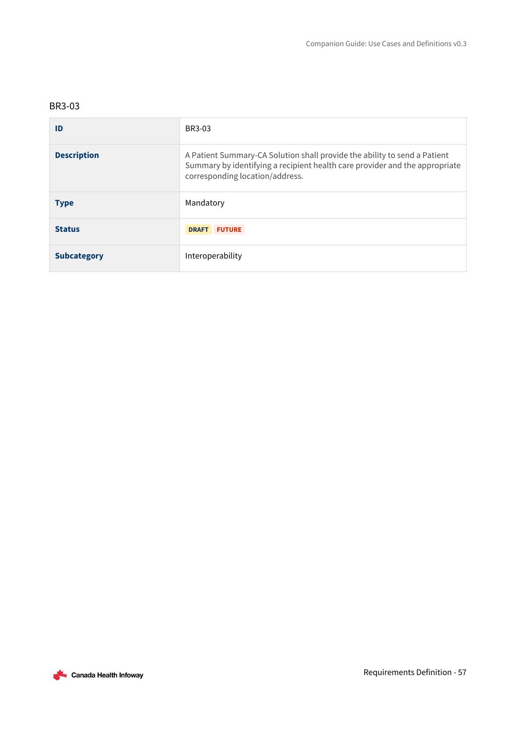| ID                 | BR3-03                                                                                                                                                                                      |
|--------------------|---------------------------------------------------------------------------------------------------------------------------------------------------------------------------------------------|
| <b>Description</b> | A Patient Summary-CA Solution shall provide the ability to send a Patient<br>Summary by identifying a recipient health care provider and the appropriate<br>corresponding location/address. |
| <b>Type</b>        | Mandatory                                                                                                                                                                                   |
| <b>Status</b>      | <b>DRAFT</b><br><b>FUTURE</b>                                                                                                                                                               |
| <b>Subcategory</b> | Interoperability                                                                                                                                                                            |

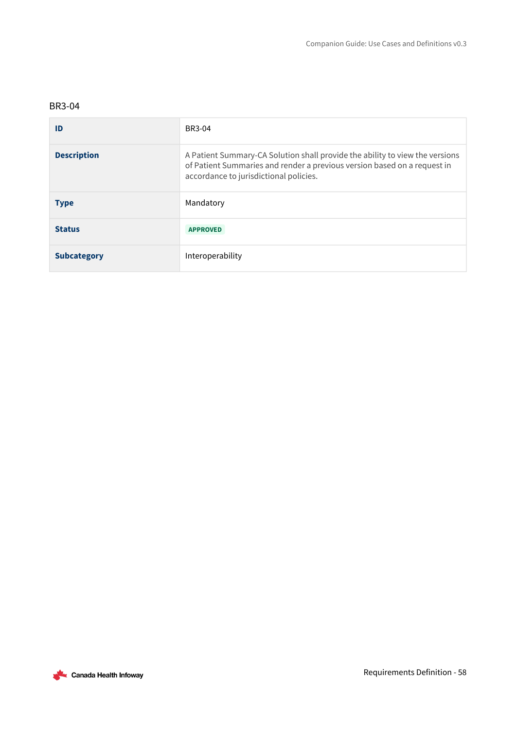<span id="page-57-0"></span>

| ID                 | BR3-04                                                                                                                                                                                             |
|--------------------|----------------------------------------------------------------------------------------------------------------------------------------------------------------------------------------------------|
| <b>Description</b> | A Patient Summary-CA Solution shall provide the ability to view the versions<br>of Patient Summaries and render a previous version based on a request in<br>accordance to jurisdictional policies. |
| <b>Type</b>        | Mandatory                                                                                                                                                                                          |
| <b>Status</b>      | <b>APPROVED</b>                                                                                                                                                                                    |
| <b>Subcategory</b> | Interoperability                                                                                                                                                                                   |

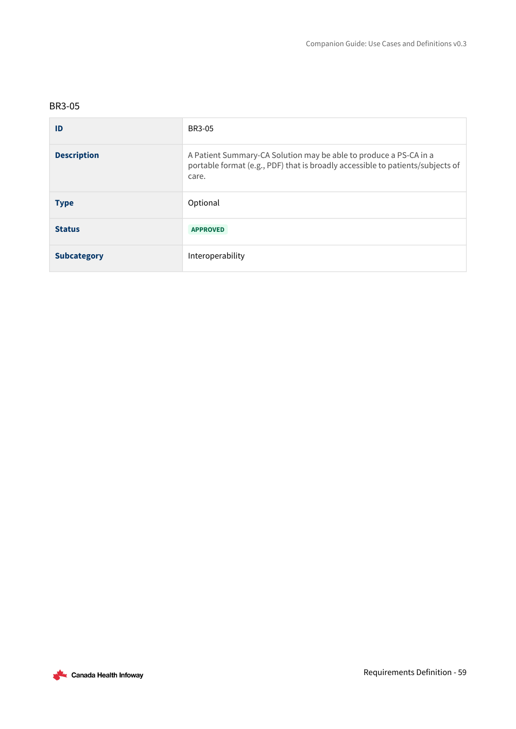<span id="page-58-0"></span>

| ID                 | BR3-05                                                                                                                                                       |
|--------------------|--------------------------------------------------------------------------------------------------------------------------------------------------------------|
| <b>Description</b> | A Patient Summary-CA Solution may be able to produce a PS-CA in a<br>portable format (e.g., PDF) that is broadly accessible to patients/subjects of<br>care. |
| <b>Type</b>        | Optional                                                                                                                                                     |
| <b>Status</b>      | <b>APPROVED</b>                                                                                                                                              |
| <b>Subcategory</b> | Interoperability                                                                                                                                             |

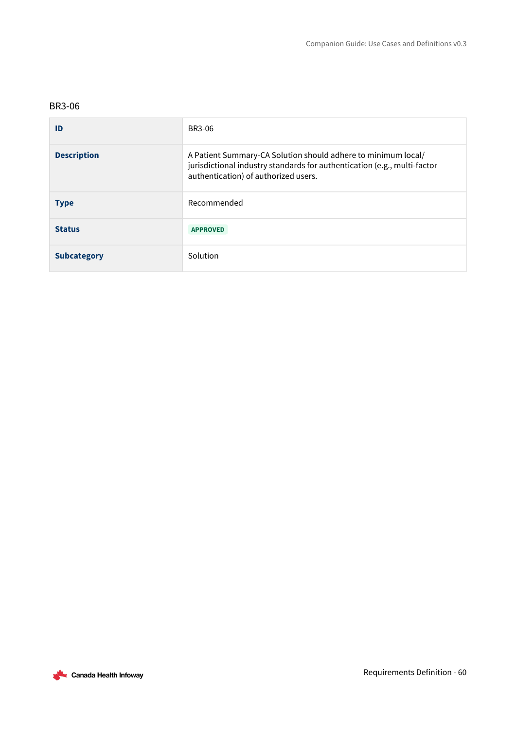<span id="page-59-0"></span>

| ID                 | BR3-06                                                                                                                                                                            |
|--------------------|-----------------------------------------------------------------------------------------------------------------------------------------------------------------------------------|
| <b>Description</b> | A Patient Summary-CA Solution should adhere to minimum local/<br>jurisdictional industry standards for authentication (e.g., multi-factor<br>authentication) of authorized users. |
| <b>Type</b>        | Recommended                                                                                                                                                                       |
| <b>Status</b>      | <b>APPROVED</b>                                                                                                                                                                   |
| <b>Subcategory</b> | Solution                                                                                                                                                                          |

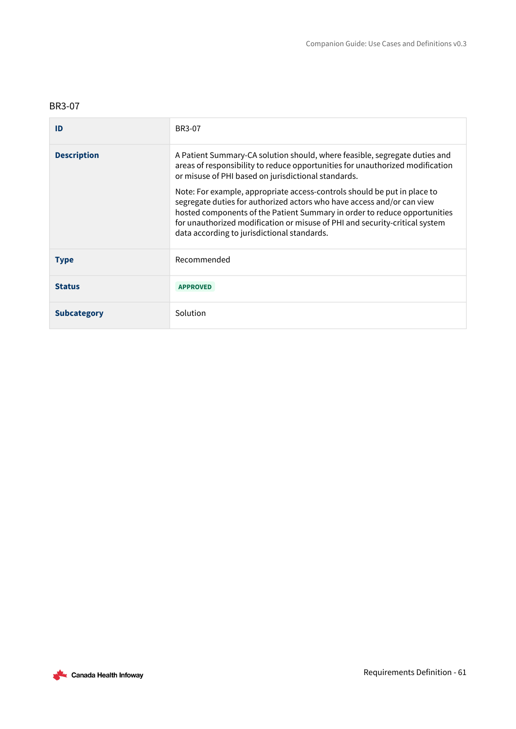<span id="page-60-0"></span>

| ID                 | BR3-07                                                                                                                                                                                                                                                                                                                                                        |
|--------------------|---------------------------------------------------------------------------------------------------------------------------------------------------------------------------------------------------------------------------------------------------------------------------------------------------------------------------------------------------------------|
| <b>Description</b> | A Patient Summary-CA solution should, where feasible, segregate duties and<br>areas of responsibility to reduce opportunities for unauthorized modification<br>or misuse of PHI based on jurisdictional standards.                                                                                                                                            |
|                    | Note: For example, appropriate access-controls should be put in place to<br>segregate duties for authorized actors who have access and/or can view<br>hosted components of the Patient Summary in order to reduce opportunities<br>for unauthorized modification or misuse of PHI and security-critical system<br>data according to jurisdictional standards. |
| <b>Type</b>        | Recommended                                                                                                                                                                                                                                                                                                                                                   |
| <b>Status</b>      | <b>APPROVED</b>                                                                                                                                                                                                                                                                                                                                               |
| <b>Subcategory</b> | Solution                                                                                                                                                                                                                                                                                                                                                      |

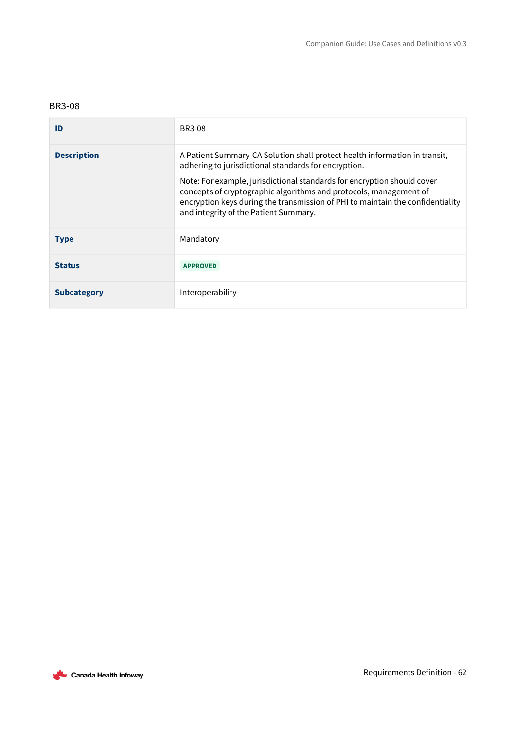<span id="page-61-0"></span>

| ID                 | <b>BR3-08</b>                                                                                                                                                                                                                                                                                                                                                                                                 |
|--------------------|---------------------------------------------------------------------------------------------------------------------------------------------------------------------------------------------------------------------------------------------------------------------------------------------------------------------------------------------------------------------------------------------------------------|
| <b>Description</b> | A Patient Summary-CA Solution shall protect health information in transit,<br>adhering to jurisdictional standards for encryption.<br>Note: For example, jurisdictional standards for encryption should cover<br>concepts of cryptographic algorithms and protocols, management of<br>encryption keys during the transmission of PHI to maintain the confidentiality<br>and integrity of the Patient Summary. |
| <b>Type</b>        | Mandatory                                                                                                                                                                                                                                                                                                                                                                                                     |
| <b>Status</b>      | <b>APPROVED</b>                                                                                                                                                                                                                                                                                                                                                                                               |
| <b>Subcategory</b> | Interoperability                                                                                                                                                                                                                                                                                                                                                                                              |

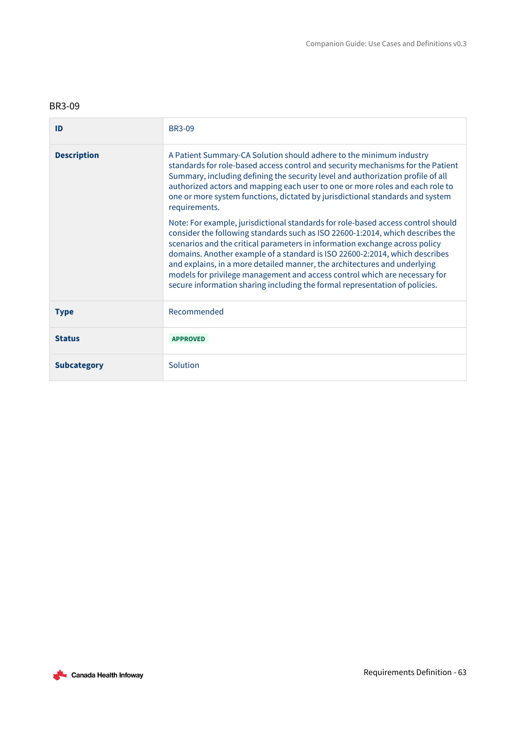<span id="page-62-0"></span>

| ID                 | <b>BR3-09</b>                                                                                                                                                                                                                                                                                                                                                                                                                                                                                                                                                              |
|--------------------|----------------------------------------------------------------------------------------------------------------------------------------------------------------------------------------------------------------------------------------------------------------------------------------------------------------------------------------------------------------------------------------------------------------------------------------------------------------------------------------------------------------------------------------------------------------------------|
| <b>Description</b> | A Patient Summary-CA Solution should adhere to the minimum industry<br>standards for role-based access control and security mechanisms for the Patient<br>Summary, including defining the security level and authorization profile of all<br>authorized actors and mapping each user to one or more roles and each role to<br>one or more system functions, dictated by jurisdictional standards and system<br>requirements.                                                                                                                                               |
|                    | Note: For example, jurisdictional standards for role-based access control should<br>consider the following standards such as ISO 22600-1:2014, which describes the<br>scenarios and the critical parameters in information exchange across policy<br>domains. Another example of a standard is ISO 22600-2:2014, which describes<br>and explains, in a more detailed manner, the architectures and underlying<br>models for privilege management and access control which are necessary for<br>secure information sharing including the formal representation of policies. |
| <b>Type</b>        | Recommended                                                                                                                                                                                                                                                                                                                                                                                                                                                                                                                                                                |
| <b>Status</b>      | <b>APPROVED</b>                                                                                                                                                                                                                                                                                                                                                                                                                                                                                                                                                            |
| <b>Subcategory</b> | Solution                                                                                                                                                                                                                                                                                                                                                                                                                                                                                                                                                                   |

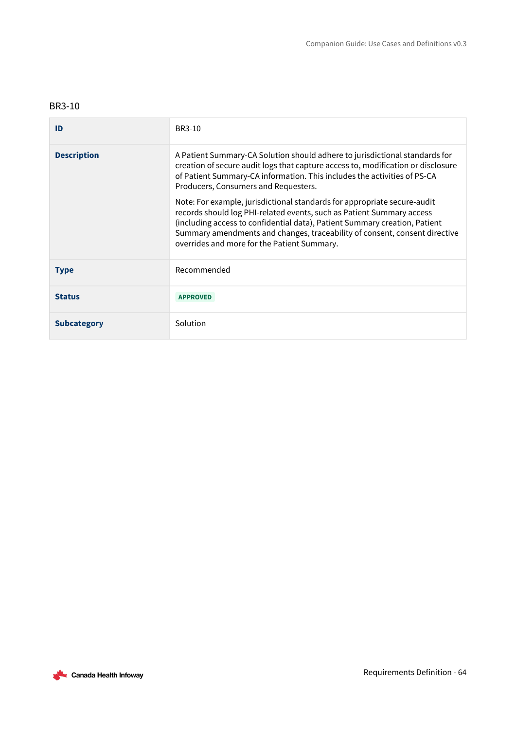<span id="page-63-0"></span>

| ID                 | BR3-10                                                                                                                                                                                                                                                                                                                                                       |
|--------------------|--------------------------------------------------------------------------------------------------------------------------------------------------------------------------------------------------------------------------------------------------------------------------------------------------------------------------------------------------------------|
| <b>Description</b> | A Patient Summary-CA Solution should adhere to jurisdictional standards for<br>creation of secure audit logs that capture access to, modification or disclosure<br>of Patient Summary-CA information. This includes the activities of PS-CA<br>Producers, Consumers and Requesters.                                                                          |
|                    | Note: For example, jurisdictional standards for appropriate secure-audit<br>records should log PHI-related events, such as Patient Summary access<br>(including access to confidential data), Patient Summary creation, Patient<br>Summary amendments and changes, traceability of consent, consent directive<br>overrides and more for the Patient Summary. |
| <b>Type</b>        | Recommended                                                                                                                                                                                                                                                                                                                                                  |
| <b>Status</b>      | <b>APPROVED</b>                                                                                                                                                                                                                                                                                                                                              |
| <b>Subcategory</b> | Solution                                                                                                                                                                                                                                                                                                                                                     |

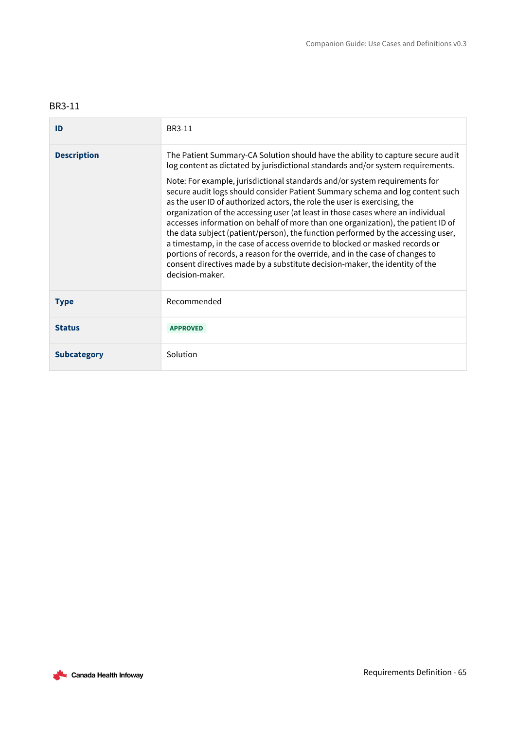<span id="page-64-0"></span>

| ID                 | BR3-11                                                                                                                                                                                                                                                                                                                                                                                                                                                                                                                                                                                                                                                                                                                                                                                                                                                                                                                                      |
|--------------------|---------------------------------------------------------------------------------------------------------------------------------------------------------------------------------------------------------------------------------------------------------------------------------------------------------------------------------------------------------------------------------------------------------------------------------------------------------------------------------------------------------------------------------------------------------------------------------------------------------------------------------------------------------------------------------------------------------------------------------------------------------------------------------------------------------------------------------------------------------------------------------------------------------------------------------------------|
| <b>Description</b> | The Patient Summary-CA Solution should have the ability to capture secure audit<br>log content as dictated by jurisdictional standards and/or system requirements.<br>Note: For example, jurisdictional standards and/or system requirements for<br>secure audit logs should consider Patient Summary schema and log content such<br>as the user ID of authorized actors, the role the user is exercising, the<br>organization of the accessing user (at least in those cases where an individual<br>accesses information on behalf of more than one organization), the patient ID of<br>the data subject (patient/person), the function performed by the accessing user,<br>a timestamp, in the case of access override to blocked or masked records or<br>portions of records, a reason for the override, and in the case of changes to<br>consent directives made by a substitute decision-maker, the identity of the<br>decision-maker. |
| <b>Type</b>        | Recommended                                                                                                                                                                                                                                                                                                                                                                                                                                                                                                                                                                                                                                                                                                                                                                                                                                                                                                                                 |
| <b>Status</b>      | <b>APPROVED</b>                                                                                                                                                                                                                                                                                                                                                                                                                                                                                                                                                                                                                                                                                                                                                                                                                                                                                                                             |
| <b>Subcategory</b> | Solution                                                                                                                                                                                                                                                                                                                                                                                                                                                                                                                                                                                                                                                                                                                                                                                                                                                                                                                                    |

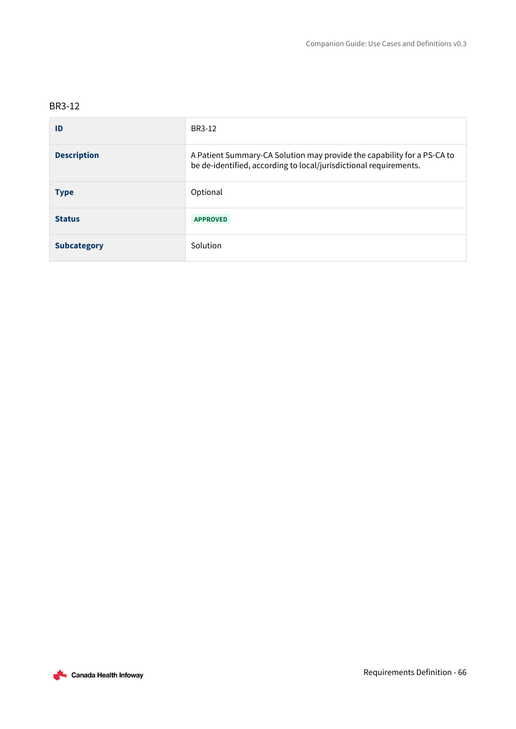<span id="page-65-0"></span>

| ID                 | BR3-12                                                                                                                                       |
|--------------------|----------------------------------------------------------------------------------------------------------------------------------------------|
| <b>Description</b> | A Patient Summary-CA Solution may provide the capability for a PS-CA to<br>be de-identified, according to local/jurisdictional requirements. |
| <b>Type</b>        | Optional                                                                                                                                     |
| <b>Status</b>      | <b>APPROVED</b>                                                                                                                              |
| <b>Subcategory</b> | Solution                                                                                                                                     |

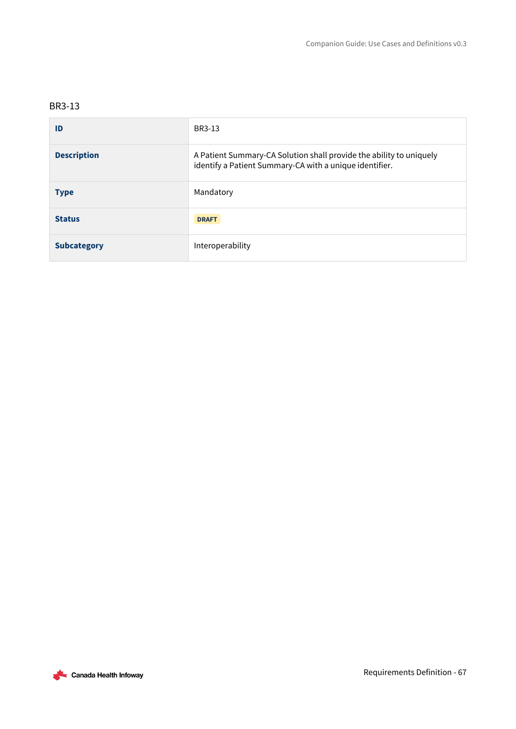<span id="page-66-0"></span>

| ID                 | BR3-13                                                                                                                         |
|--------------------|--------------------------------------------------------------------------------------------------------------------------------|
| <b>Description</b> | A Patient Summary-CA Solution shall provide the ability to uniquely<br>identify a Patient Summary-CA with a unique identifier. |
| <b>Type</b>        | Mandatory                                                                                                                      |
| <b>Status</b>      | <b>DRAFT</b>                                                                                                                   |
| <b>Subcategory</b> | Interoperability                                                                                                               |

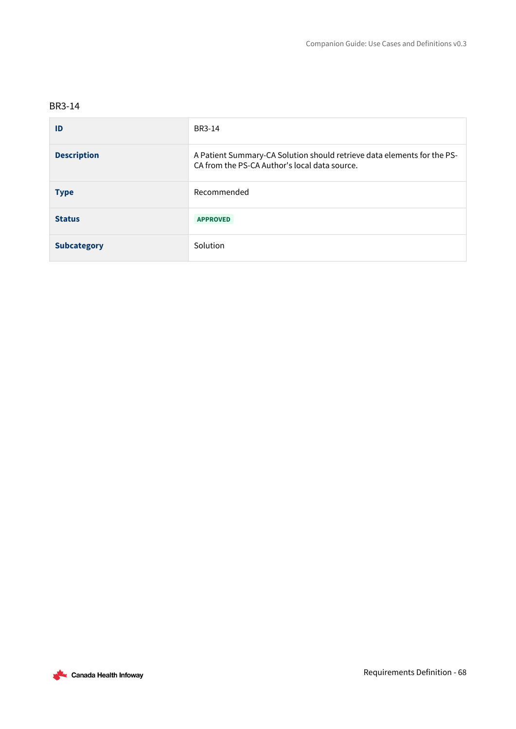<span id="page-67-0"></span>

| ID                 | BR3-14                                                                                                                   |
|--------------------|--------------------------------------------------------------------------------------------------------------------------|
| <b>Description</b> | A Patient Summary-CA Solution should retrieve data elements for the PS-<br>CA from the PS-CA Author's local data source. |
| <b>Type</b>        | Recommended                                                                                                              |
| <b>Status</b>      | <b>APPROVED</b>                                                                                                          |
| <b>Subcategory</b> | Solution                                                                                                                 |

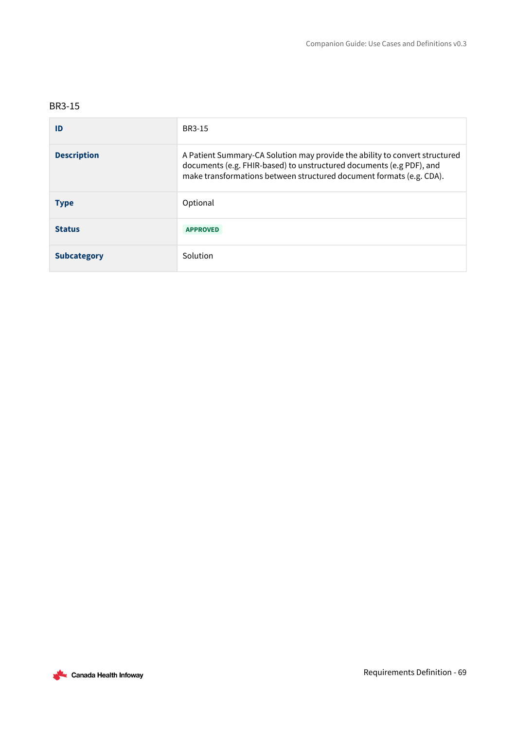<span id="page-68-0"></span>

| ID                 | <b>BR3-15</b>                                                                                                                                                                                                               |
|--------------------|-----------------------------------------------------------------------------------------------------------------------------------------------------------------------------------------------------------------------------|
| <b>Description</b> | A Patient Summary-CA Solution may provide the ability to convert structured<br>documents (e.g. FHIR-based) to unstructured documents (e.g PDF), and<br>make transformations between structured document formats (e.g. CDA). |
| <b>Type</b>        | Optional                                                                                                                                                                                                                    |
| <b>Status</b>      | <b>APPROVED</b>                                                                                                                                                                                                             |
| <b>Subcategory</b> | Solution                                                                                                                                                                                                                    |

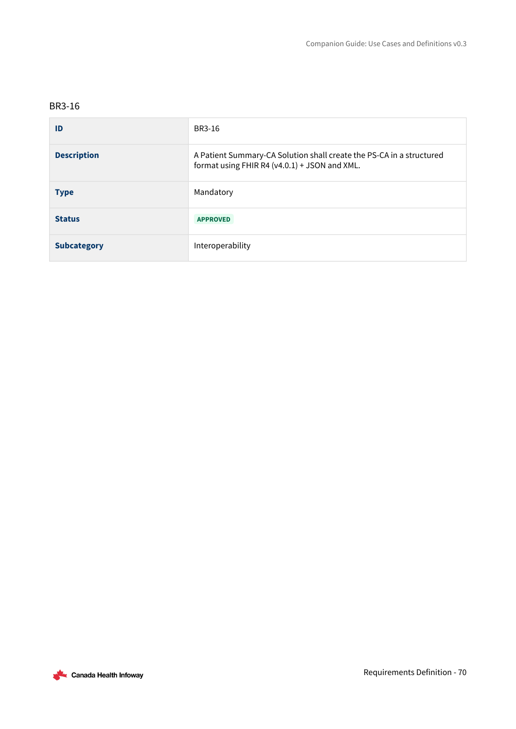<span id="page-69-0"></span>

| ID                 | BR3-16                                                                                                                |
|--------------------|-----------------------------------------------------------------------------------------------------------------------|
| <b>Description</b> | A Patient Summary-CA Solution shall create the PS-CA in a structured<br>format using FHIR R4 (v4.0.1) + JSON and XML. |
| <b>Type</b>        | Mandatory                                                                                                             |
| <b>Status</b>      | <b>APPROVED</b>                                                                                                       |
| <b>Subcategory</b> | Interoperability                                                                                                      |